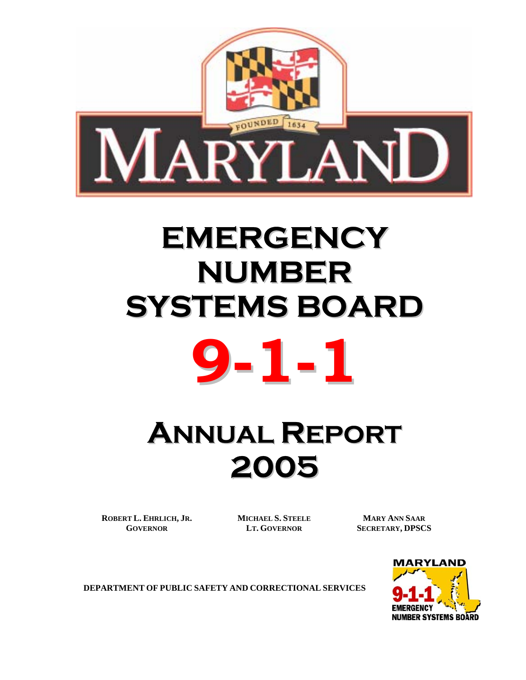

# **EMERGENCY NUMBER SYSTEMS BOARD**



# **ANNUAL REPORT 2005**

**ROBERT L. EHRLICH, JR. GOVERNOR**

**MICHAEL S. STEELE LT. GOVERNOR**

**MARY ANN SAAR SECRETARY, DPSCS** 



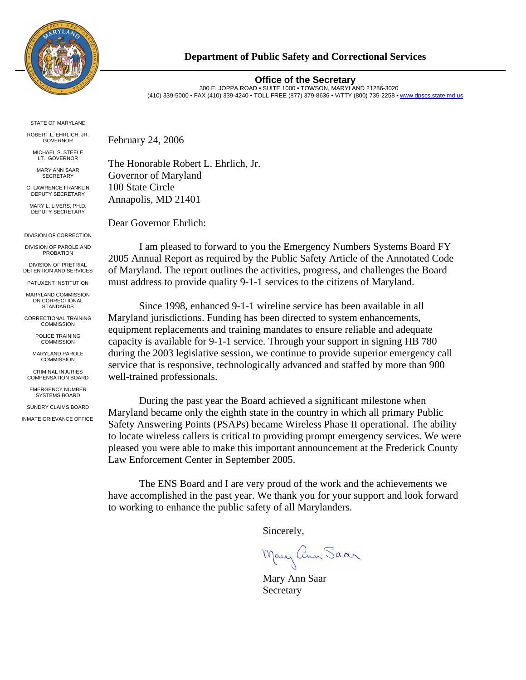

## **Department of Public Safety and Correctional Services**

#### **Office of the Secretary**

300 E. JOPPA ROAD • SUITE 1000 • TOWSON, MARYLAND 21286-3020 (410) 339-5000 • FAX (410) 339-4240 • TOLL FREE (877) 379-8636 • V/TTY (800) 735-2258 • [www.dpscs.state.md.us](http://www.dpscs.state.md.us/)

STATE OF MARYLAND

ROBERT L. EHRLICH, JR. GOVERNOR

MICHAEL S. STEELE LT. GOVERNOR

MARY ANN SAAR SECRETARY

G. LAWRENCE FRANKLIN DEPUTY SECRETARY

MARY L. LIVERS, PH.D. DEPUTY SECRETARY

DIVISION OF CORRECTION

DIVISION OF PAROLE AND PROBATION

DIVISION OF PRETRIAL DETENTION AND SERVICES

PATUXENT INSTITUTION MARYLAND COMMISSION

ON CORRECTIONAL STANDARDS

CORRECTIONAL TRAINING **COMMISSION** 

> POLICE TRAINING **COMMISSION**

MARYLAND PAROLE COMMISSION

CRIMINAL INJURIES COMPENSATION BOARD

EMERGENCY NUMBER SYSTEMS BOARD

SUNDRY CLAIMS BOARD INMATE GRIEVANCE OFFICE February 24, 2006

The Honorable Robert L. Ehrlich, Jr. Governor of Maryland 100 State Circle Annapolis, MD 21401

Dear Governor Ehrlich:

I am pleased to forward to you the Emergency Numbers Systems Board FY 2005 Annual Report as required by the Public Safety Article of the Annotated Code of Maryland. The report outlines the activities, progress, and challenges the Board must address to provide quality 9-1-1 services to the citizens of Maryland.

Since 1998, enhanced 9-1-1 wireline service has been available in all Maryland jurisdictions. Funding has been directed to system enhancements, equipment replacements and training mandates to ensure reliable and adequate capacity is available for 9-1-1 service. Through your support in signing HB 780 during the 2003 legislative session, we continue to provide superior emergency call service that is responsive, technologically advanced and staffed by more than 900 well-trained professionals.

During the past year the Board achieved a significant milestone when Maryland became only the eighth state in the country in which all primary Public Safety Answering Points (PSAPs) became Wireless Phase II operational. The ability to locate wireless callers is critical to providing prompt emergency services. We were pleased you were able to make this important announcement at the Frederick County Law Enforcement Center in September 2005.

The ENS Board and I are very proud of the work and the achievements we have accomplished in the past year. We thank you for your support and look forward to working to enhance the public safety of all Marylanders.

Sincerely,

Mary ann Saar

 Mary Ann Saar **Secretary**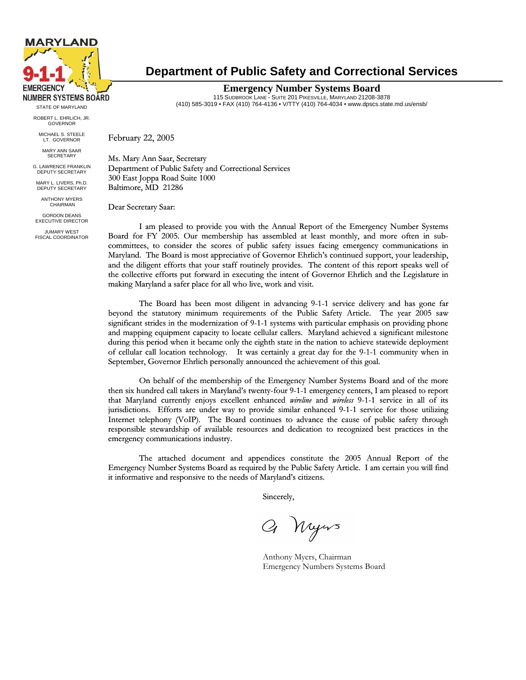

ROBERT L. EHRLICH, JR. GOVERNOR MICHAEL S. STEELE

LT. GOVERNOR

MARY ANN SAAR **SECRETAR** 

G. LAWRENCE FRANKLIN DEPUTY SECRETARY

MARY L. LIVERS, Ph.D. DEPUTY SECRETARY

ANTHONY MYERS CHAIRMAN

GORDON DEANS EXECUTIVE DIRECTOR

JUMARY WEST FISCAL COORDINATOR

# **Department of Public Safety and Correctional Services**

**Emergency Number Systems Board**  115 SUDBROOK LANE - SUITE 201 PIKESVILLE, MARYLAND 21208-3878 (410) 585-3019 • FAX (410) 764-4136 • V/TTY (410) 764-4034 • www.dpscs.state.md.us/ensb/ STATE OF MARYLAND

February 22, 2005

Ms. Mary Ann Saar, Secretary Department of Public Safety and Correctional Services 300 East Joppa Road Suite 1000 Baltimore, MD 21286

Dear Secretary Saar:

I am pleased to provide you with the Annual Report of the Emergency Number Systems Board for FY 2005. Our membership has assembled at least monthly, and more often in subcommittees, to consider the scores of public safety issues facing emergency communications in Maryland. The Board is most appreciative of Governor Ehrlich's continued support, your leadership, and the diligent efforts that your staff routinely provides. The content of this report speaks well of the collective efforts put forward in executing the intent of Governor Ehrlich and the Legislature in making Maryland a safer place for all who live, work and visit.

The Board has been most diligent in advancing 9-1-1 service delivery and has gone far beyond the statutory minimum requirements of the Public Safety Article. The year 2005 saw significant strides in the modernization of 9-1-1 systems with particular emphasis on providing phone and mapping equipment capacity to locate cellular callers. Maryland achieved a significant milestone during this period when it became only the eighth state in the nation to achieve statewide deployment of cellular call location technology. It was certainly a great day for the 9-1-1 community when in September, Governor Ehrlich personally announced the achievement of this goal.

On behalf of the membership of the Emergency Number Systems Board and of the more then six hundred call takers in Maryland's twenty-four 9-1-1 emergency centers, I am pleased to report that Maryland currently enjoys excellent enhanced *wireline* and *wireless* 9-1-1 service in all of its jurisdictions. Efforts are under way to provide similar enhanced 9-1-1 service for those utilizing Internet telephony (VoIP). The Board continues to advance the cause of public safety through responsible stewardship of available resources and dedication to recognized best practices in the emergency communications industry.

The attached document and appendices constitute the 2005 Annual Report of the Emergency Number Systems Board as required by the Public Safety Article. I am certain you will find it informative and responsive to the needs of Maryland's citizens.

Sincerely,

Q Nyws

Anthony Myers, Chairman Emergency Numbers Systems Board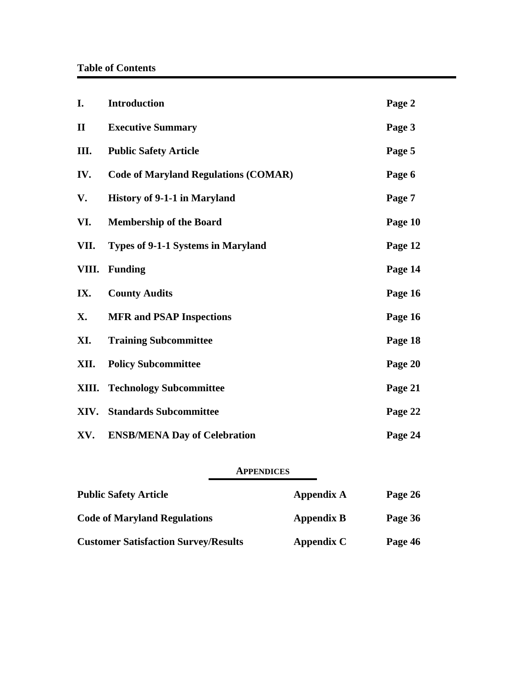| I.           | <b>Introduction</b>                         | Page 2  |
|--------------|---------------------------------------------|---------|
| $\mathbf{I}$ | <b>Executive Summary</b>                    | Page 3  |
| Ш.           | <b>Public Safety Article</b>                | Page 5  |
| IV.          | <b>Code of Maryland Regulations (COMAR)</b> | Page 6  |
| V.           | <b>History of 9-1-1 in Maryland</b>         | Page 7  |
| VI.          | <b>Membership of the Board</b>              | Page 10 |
| VII.         | <b>Types of 9-1-1 Systems in Maryland</b>   | Page 12 |
| VIII.        | <b>Funding</b>                              | Page 14 |
| IX.          | <b>County Audits</b>                        | Page 16 |
| X.           | <b>MFR and PSAP Inspections</b>             | Page 16 |
| XI.          | <b>Training Subcommittee</b>                | Page 18 |
| XII.         | <b>Policy Subcommittee</b>                  | Page 20 |
| XIII.        | <b>Technology Subcommittee</b>              | Page 21 |
| XIV.         | <b>Standards Subcommittee</b>               | Page 22 |
| XV.          | <b>ENSB/MENA Day of Celebration</b>         | Page 24 |

# **APPENDICES**

| <b>Public Safety Article</b>                | Appendix A        | Page 26 |
|---------------------------------------------|-------------------|---------|
| <b>Code of Maryland Regulations</b>         | <b>Appendix B</b> | Page 36 |
| <b>Customer Satisfaction Survey/Results</b> | Appendix C        | Page 46 |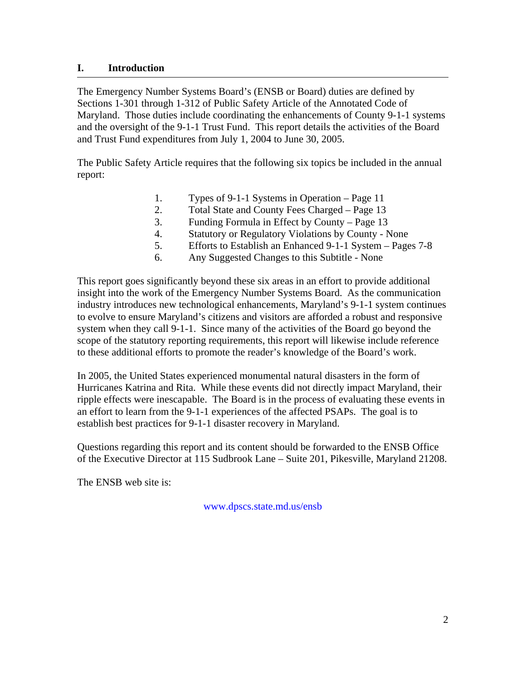# **I. Introduction**

The Emergency Number Systems Board's (ENSB or Board) duties are defined by Sections 1-301 through 1-312 of Public Safety Article of the Annotated Code of Maryland. Those duties include coordinating the enhancements of County 9-1-1 systems and the oversight of the 9-1-1 Trust Fund. This report details the activities of the Board and Trust Fund expenditures from July 1, 2004 to June 30, 2005.

The Public Safety Article requires that the following six topics be included in the annual report:

- 1. Types of 9-1-1 Systems in Operation Page 11
- 2. Total State and County Fees Charged Page 13
- 3. Funding Formula in Effect by County Page 13
- 4. Statutory or Regulatory Violations by County None
- 5. Efforts to Establish an Enhanced 9-1-1 System Pages 7-8
- 6. Any Suggested Changes to this Subtitle None

This report goes significantly beyond these six areas in an effort to provide additional insight into the work of the Emergency Number Systems Board. As the communication industry introduces new technological enhancements, Maryland's 9-1-1 system continues to evolve to ensure Maryland's citizens and visitors are afforded a robust and responsive system when they call 9-1-1. Since many of the activities of the Board go beyond the scope of the statutory reporting requirements, this report will likewise include reference to these additional efforts to promote the reader's knowledge of the Board's work.

In 2005, the United States experienced monumental natural disasters in the form of Hurricanes Katrina and Rita. While these events did not directly impact Maryland, their ripple effects were inescapable. The Board is in the process of evaluating these events in an effort to learn from the 9-1-1 experiences of the affected PSAPs. The goal is to establish best practices for 9-1-1 disaster recovery in Maryland.

Questions regarding this report and its content should be forwarded to the ENSB Office of the Executive Director at 115 Sudbrook Lane – Suite 201, Pikesville, Maryland 21208.

The ENSB web site is:

www.dpscs.state.md.us/ensb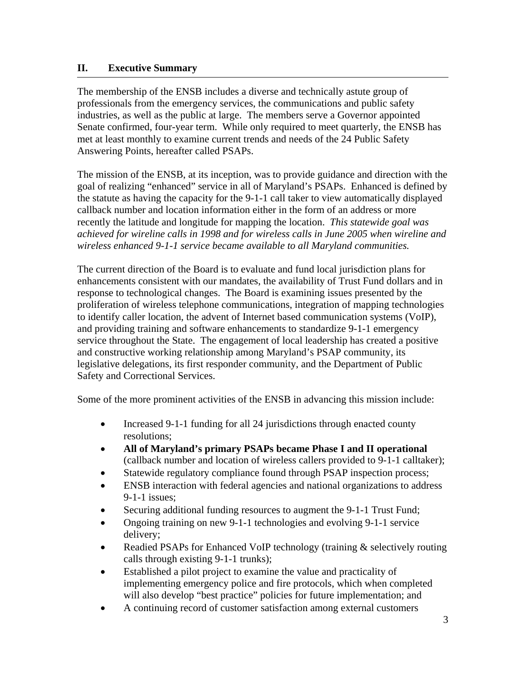# **II. Executive Summary**

The membership of the ENSB includes a diverse and technically astute group of professionals from the emergency services, the communications and public safety industries, as well as the public at large. The members serve a Governor appointed Senate confirmed, four-year term. While only required to meet quarterly, the ENSB has met at least monthly to examine current trends and needs of the 24 Public Safety Answering Points, hereafter called PSAPs.

The mission of the ENSB, at its inception, was to provide guidance and direction with the goal of realizing "enhanced" service in all of Maryland's PSAPs. Enhanced is defined by the statute as having the capacity for the 9-1-1 call taker to view automatically displayed callback number and location information either in the form of an address or more recently the latitude and longitude for mapping the location. *This statewide goal was achieved for wireline calls in 1998 and for wireless calls in June 2005 when wireline and wireless enhanced 9-1-1 service became available to all Maryland communities.*

The current direction of the Board is to evaluate and fund local jurisdiction plans for enhancements consistent with our mandates, the availability of Trust Fund dollars and in response to technological changes. The Board is examining issues presented by the proliferation of wireless telephone communications, integration of mapping technologies to identify caller location, the advent of Internet based communication systems (VoIP), and providing training and software enhancements to standardize 9-1-1 emergency service throughout the State. The engagement of local leadership has created a positive and constructive working relationship among Maryland's PSAP community, its legislative delegations, its first responder community, and the Department of Public Safety and Correctional Services.

Some of the more prominent activities of the ENSB in advancing this mission include:

- Increased 9-1-1 funding for all 24 jurisdictions through enacted county resolutions;
- **All of Maryland's primary PSAPs became Phase I and II operational** (callback number and location of wireless callers provided to 9-1-1 calltaker);
- Statewide regulatory compliance found through PSAP inspection process;
- ENSB interaction with federal agencies and national organizations to address 9-1-1 issues;
- Securing additional funding resources to augment the 9-1-1 Trust Fund;
- Ongoing training on new 9-1-1 technologies and evolving 9-1-1 service delivery;
- Readied PSAPs for Enhanced VoIP technology (training & selectively routing calls through existing 9-1-1 trunks);
- Established a pilot project to examine the value and practicality of implementing emergency police and fire protocols, which when completed will also develop "best practice" policies for future implementation; and
- A continuing record of customer satisfaction among external customers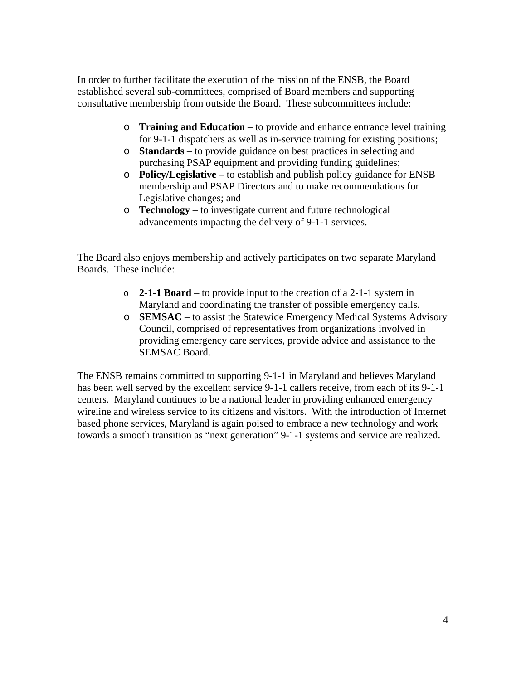In order to further facilitate the execution of the mission of the ENSB, the Board established several sub-committees, comprised of Board members and supporting consultative membership from outside the Board. These subcommittees include:

- o **Training and Education** to provide and enhance entrance level training for 9-1-1 dispatchers as well as in-service training for existing positions;
- o **Standards** to provide guidance on best practices in selecting and purchasing PSAP equipment and providing funding guidelines;
- o **Policy/Legislative**  to establish and publish policy guidance for ENSB membership and PSAP Directors and to make recommendations for Legislative changes; and
- o **Technology**  to investigate current and future technological advancements impacting the delivery of 9-1-1 services.

The Board also enjoys membership and actively participates on two separate Maryland Boards. These include:

- o **2-1-1 Board**  to provide input to the creation of a 2-1-1 system in Maryland and coordinating the transfer of possible emergency calls.
- o **SEMSAC**  to assist the Statewide Emergency Medical Systems Advisory Council, comprised of representatives from organizations involved in providing emergency care services, provide advice and assistance to the SEMSAC Board.

The ENSB remains committed to supporting 9-1-1 in Maryland and believes Maryland has been well served by the excellent service 9-1-1 callers receive, from each of its 9-1-1 centers. Maryland continues to be a national leader in providing enhanced emergency wireline and wireless service to its citizens and visitors. With the introduction of Internet based phone services, Maryland is again poised to embrace a new technology and work towards a smooth transition as "next generation" 9-1-1 systems and service are realized.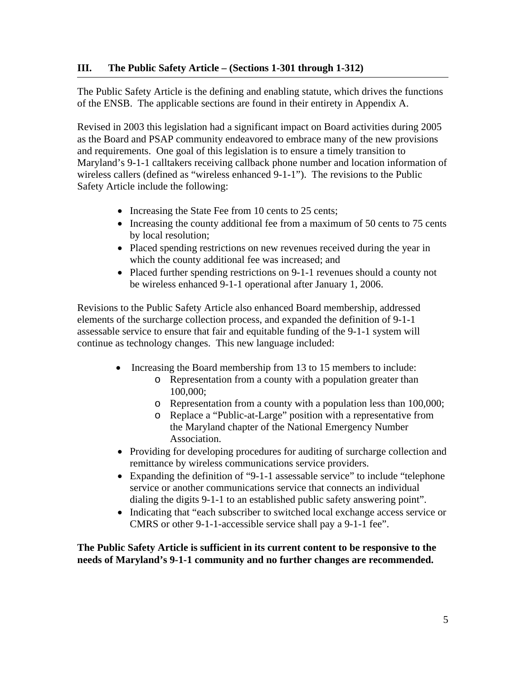The Public Safety Article is the defining and enabling statute, which drives the functions of the ENSB. The applicable sections are found in their entirety in Appendix A.

Revised in 2003 this legislation had a significant impact on Board activities during 2005 as the Board and PSAP community endeavored to embrace many of the new provisions and requirements. One goal of this legislation is to ensure a timely transition to Maryland's 9-1-1 calltakers receiving callback phone number and location information of wireless callers (defined as "wireless enhanced 9-1-1"). The revisions to the Public Safety Article include the following:

- Increasing the State Fee from 10 cents to 25 cents;
- Increasing the county additional fee from a maximum of 50 cents to 75 cents by local resolution;
- Placed spending restrictions on new revenues received during the year in which the county additional fee was increased; and
- Placed further spending restrictions on 9-1-1 revenues should a county not be wireless enhanced 9-1-1 operational after January 1, 2006.

Revisions to the Public Safety Article also enhanced Board membership, addressed elements of the surcharge collection process, and expanded the definition of 9-1-1 assessable service to ensure that fair and equitable funding of the 9-1-1 system will continue as technology changes. This new language included:

- Increasing the Board membership from 13 to 15 members to include:
	- o Representation from a county with a population greater than 100,000;
	- o Representation from a county with a population less than 100,000;
	- o Replace a "Public-at-Large" position with a representative from the Maryland chapter of the National Emergency Number Association.
- Providing for developing procedures for auditing of surcharge collection and remittance by wireless communications service providers.
- Expanding the definition of "9-1-1 assessable service" to include "telephone service or another communications service that connects an individual dialing the digits 9-1-1 to an established public safety answering point".
- Indicating that "each subscriber to switched local exchange access service or CMRS or other 9-1-1-accessible service shall pay a 9-1-1 fee".

**The Public Safety Article is sufficient in its current content to be responsive to the needs of Maryland's 9-1-1 community and no further changes are recommended.**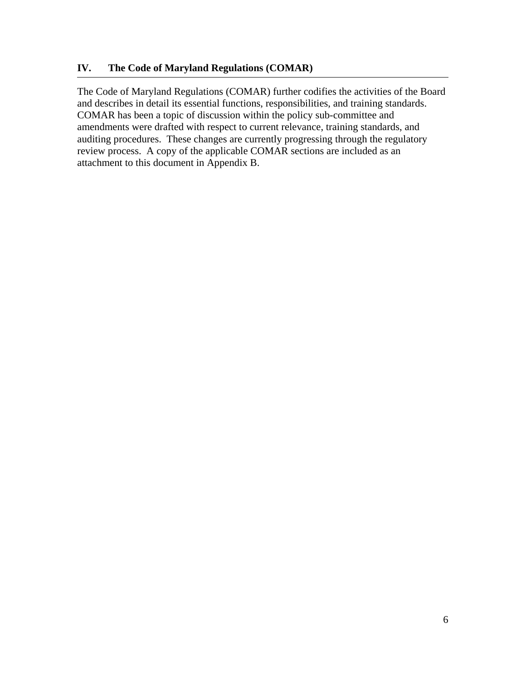The Code of Maryland Regulations (COMAR) further codifies the activities of the Board and describes in detail its essential functions, responsibilities, and training standards. COMAR has been a topic of discussion within the policy sub-committee and amendments were drafted with respect to current relevance, training standards, and auditing procedures. These changes are currently progressing through the regulatory review process. A copy of the applicable COMAR sections are included as an attachment to this document in Appendix B.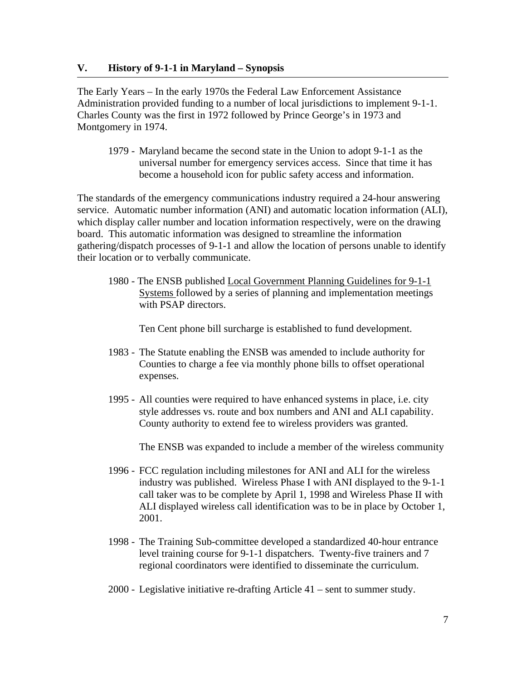#### **V. History of 9-1-1 in Maryland – Synopsis**

The Early Years – In the early 1970s the Federal Law Enforcement Assistance Administration provided funding to a number of local jurisdictions to implement 9-1-1. Charles County was the first in 1972 followed by Prince George's in 1973 and Montgomery in 1974.

1979 - Maryland became the second state in the Union to adopt 9-1-1 as the universal number for emergency services access. Since that time it has become a household icon for public safety access and information.

The standards of the emergency communications industry required a 24-hour answering service. Automatic number information (ANI) and automatic location information (ALI), which display caller number and location information respectively, were on the drawing board. This automatic information was designed to streamline the information gathering/dispatch processes of 9-1-1 and allow the location of persons unable to identify their location or to verbally communicate.

1980 - The ENSB published Local Government Planning Guidelines for 9-1-1 Systems followed by a series of planning and implementation meetings with PSAP directors.

Ten Cent phone bill surcharge is established to fund development.

- 1983 The Statute enabling the ENSB was amended to include authority for Counties to charge a fee via monthly phone bills to offset operational expenses.
- 1995 All counties were required to have enhanced systems in place, i.e. city style addresses vs. route and box numbers and ANI and ALI capability. County authority to extend fee to wireless providers was granted.

The ENSB was expanded to include a member of the wireless community

- 1996 FCC regulation including milestones for ANI and ALI for the wireless industry was published. Wireless Phase I with ANI displayed to the 9-1-1 call taker was to be complete by April 1, 1998 and Wireless Phase II with ALI displayed wireless call identification was to be in place by October 1, 2001.
- 1998 The Training Sub-committee developed a standardized 40-hour entrance level training course for 9-1-1 dispatchers. Twenty-five trainers and 7 regional coordinators were identified to disseminate the curriculum.
- 2000 Legislative initiative re-drafting Article 41 sent to summer study.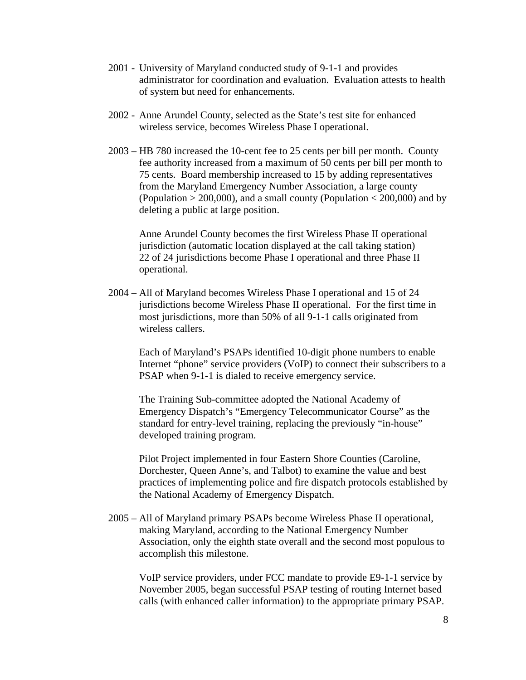- 2001 University of Maryland conducted study of 9-1-1 and provides administrator for coordination and evaluation. Evaluation attests to health of system but need for enhancements.
- 2002 Anne Arundel County, selected as the State's test site for enhanced wireless service, becomes Wireless Phase I operational.
- 2003 HB 780 increased the 10-cent fee to 25 cents per bill per month. County fee authority increased from a maximum of 50 cents per bill per month to 75 cents. Board membership increased to 15 by adding representatives from the Maryland Emergency Number Association, a large county (Population  $> 200,000$ ), and a small county (Population  $< 200,000$ ) and by deleting a public at large position.

Anne Arundel County becomes the first Wireless Phase II operational jurisdiction (automatic location displayed at the call taking station) 22 of 24 jurisdictions become Phase I operational and three Phase II operational.

2004 – All of Maryland becomes Wireless Phase I operational and 15 of 24 jurisdictions become Wireless Phase II operational. For the first time in most jurisdictions, more than 50% of all 9-1-1 calls originated from wireless callers.

 Each of Maryland's PSAPs identified 10-digit phone numbers to enable Internet "phone" service providers (VoIP) to connect their subscribers to a PSAP when 9-1-1 is dialed to receive emergency service.

 The Training Sub-committee adopted the National Academy of Emergency Dispatch's "Emergency Telecommunicator Course" as the standard for entry-level training, replacing the previously "in-house" developed training program.

 Pilot Project implemented in four Eastern Shore Counties (Caroline, Dorchester, Queen Anne's, and Talbot) to examine the value and best practices of implementing police and fire dispatch protocols established by the National Academy of Emergency Dispatch.

2005 – All of Maryland primary PSAPs become Wireless Phase II operational, making Maryland, according to the National Emergency Number Association, only the eighth state overall and the second most populous to accomplish this milestone.

 VoIP service providers, under FCC mandate to provide E9-1-1 service by November 2005, began successful PSAP testing of routing Internet based calls (with enhanced caller information) to the appropriate primary PSAP.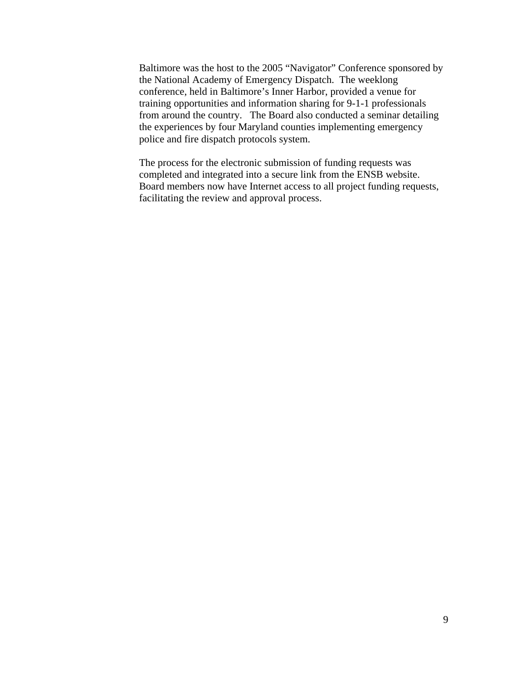Baltimore was the host to the 2005 "Navigator" Conference sponsored by the National Academy of Emergency Dispatch. The weeklong conference, held in Baltimore's Inner Harbor, provided a venue for training opportunities and information sharing for 9-1-1 professionals from around the country. The Board also conducted a seminar detailing the experiences by four Maryland counties implementing emergency police and fire dispatch protocols system.

 The process for the electronic submission of funding requests was completed and integrated into a secure link from the ENSB website. Board members now have Internet access to all project funding requests, facilitating the review and approval process.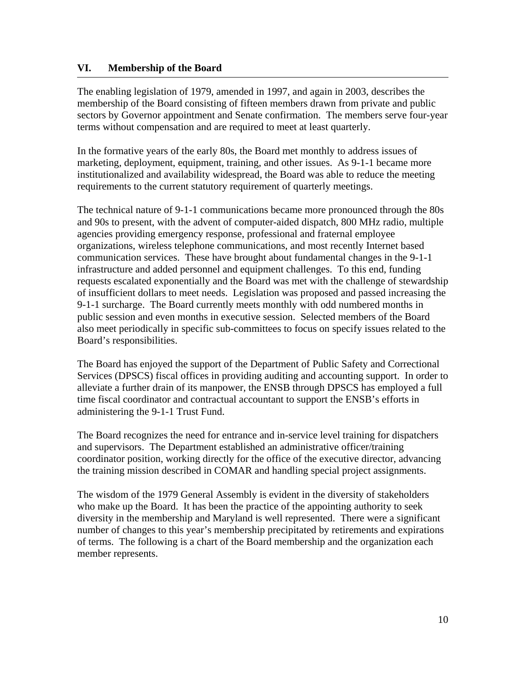# **VI. Membership of the Board**

The enabling legislation of 1979, amended in 1997, and again in 2003, describes the membership of the Board consisting of fifteen members drawn from private and public sectors by Governor appointment and Senate confirmation. The members serve four-year terms without compensation and are required to meet at least quarterly.

In the formative years of the early 80s, the Board met monthly to address issues of marketing, deployment, equipment, training, and other issues. As 9-1-1 became more institutionalized and availability widespread, the Board was able to reduce the meeting requirements to the current statutory requirement of quarterly meetings.

The technical nature of 9-1-1 communications became more pronounced through the 80s and 90s to present, with the advent of computer-aided dispatch, 800 MHz radio, multiple agencies providing emergency response, professional and fraternal employee organizations, wireless telephone communications, and most recently Internet based communication services. These have brought about fundamental changes in the 9-1-1 infrastructure and added personnel and equipment challenges. To this end, funding requests escalated exponentially and the Board was met with the challenge of stewardship of insufficient dollars to meet needs. Legislation was proposed and passed increasing the 9-1-1 surcharge. The Board currently meets monthly with odd numbered months in public session and even months in executive session. Selected members of the Board also meet periodically in specific sub-committees to focus on specify issues related to the Board's responsibilities.

The Board has enjoyed the support of the Department of Public Safety and Correctional Services (DPSCS) fiscal offices in providing auditing and accounting support. In order to alleviate a further drain of its manpower, the ENSB through DPSCS has employed a full time fiscal coordinator and contractual accountant to support the ENSB's efforts in administering the 9-1-1 Trust Fund.

The Board recognizes the need for entrance and in-service level training for dispatchers and supervisors. The Department established an administrative officer/training coordinator position, working directly for the office of the executive director, advancing the training mission described in COMAR and handling special project assignments.

The wisdom of the 1979 General Assembly is evident in the diversity of stakeholders who make up the Board. It has been the practice of the appointing authority to seek diversity in the membership and Maryland is well represented. There were a significant number of changes to this year's membership precipitated by retirements and expirations of terms. The following is a chart of the Board membership and the organization each member represents.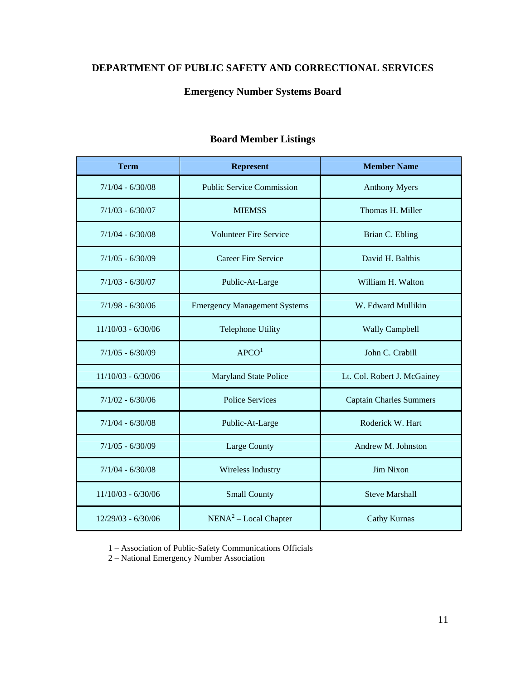# **DEPARTMENT OF PUBLIC SAFETY AND CORRECTIONAL SERVICES**

# **Emergency Number Systems Board**

| <b>Term</b>          | <b>Represent</b>                    | <b>Member Name</b>             |  |
|----------------------|-------------------------------------|--------------------------------|--|
| $7/1/04 - 6/30/08$   | <b>Public Service Commission</b>    | <b>Anthony Myers</b>           |  |
| $7/1/03 - 6/30/07$   | <b>MIEMSS</b>                       | Thomas H. Miller               |  |
| $7/1/04 - 6/30/08$   | <b>Volunteer Fire Service</b>       | Brian C. Ebling                |  |
| $7/1/05 - 6/30/09$   | Career Fire Service                 | David H. Balthis               |  |
| $7/1/03 - 6/30/07$   | Public-At-Large                     | William H. Walton              |  |
| $7/1/98 - 6/30/06$   | <b>Emergency Management Systems</b> | W. Edward Mullikin             |  |
| $11/10/03 - 6/30/06$ | <b>Telephone Utility</b>            | <b>Wally Campbell</b>          |  |
| $7/1/05 - 6/30/09$   | APCO <sup>1</sup>                   | John C. Crabill                |  |
| $11/10/03 - 6/30/06$ | <b>Maryland State Police</b>        | Lt. Col. Robert J. McGainey    |  |
| $7/1/02 - 6/30/06$   | <b>Police Services</b>              | <b>Captain Charles Summers</b> |  |
| $7/1/04 - 6/30/08$   | Public-At-Large                     | Roderick W. Hart               |  |
| $7/1/05 - 6/30/09$   | Large County                        | Andrew M. Johnston             |  |
| $7/1/04 - 6/30/08$   | <b>Wireless Industry</b>            | <b>Jim Nixon</b>               |  |
| $11/10/03 - 6/30/06$ | <b>Small County</b>                 | <b>Steve Marshall</b>          |  |
| $12/29/03 - 6/30/06$ | NENA <sup>2</sup> – Local Chapter   | <b>Cathy Kurnas</b>            |  |

# **Board Member Listings**

1 – Association of Public-Safety Communications Officials

2 – National Emergency Number Association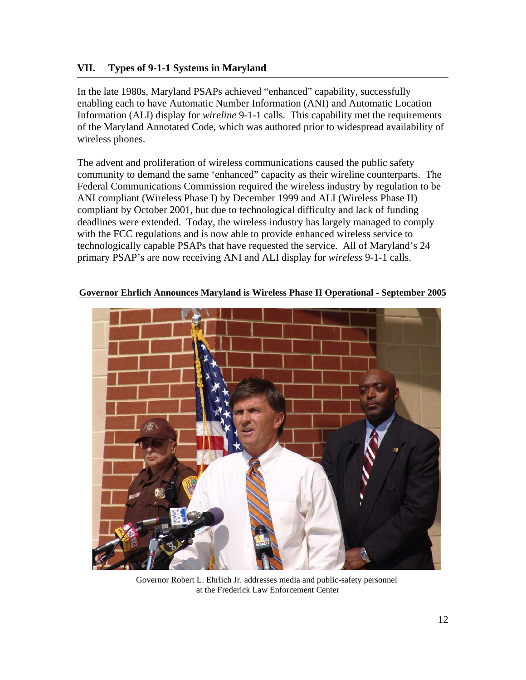# **VII. Types of 9-1-1 Systems in Maryland**

In the late 1980s, Maryland PSAPs achieved "enhanced" capability, successfully enabling each to have Automatic Number Information (ANI) and Automatic Location Information (ALI) display for *wireline* 9-1-1 calls. This capability met the requirements of the Maryland Annotated Code, which was authored prior to widespread availability of wireless phones.

The advent and proliferation of wireless communications caused the public safety community to demand the same 'enhanced" capacity as their wireline counterparts. The Federal Communications Commission required the wireless industry by regulation to be ANI compliant (Wireless Phase I) by December 1999 and ALI (Wireless Phase II) compliant by October 2001, but due to technological difficulty and lack of funding deadlines were extended. Today, the wireless industry has largely managed to comply with the FCC regulations and is now able to provide enhanced wireless service to technologically capable PSAPs that have requested the service. All of Maryland's 24 primary PSAP's are now receiving ANI and ALI display for *wireless* 9-1-1 calls.



**Governor Ehrlich Announces Maryland is Wireless Phase II Operational - September 2005**

Governor Robert L. Ehrlich Jr. addresses media and public-safety personnel at the Frederick Law Enforcement Center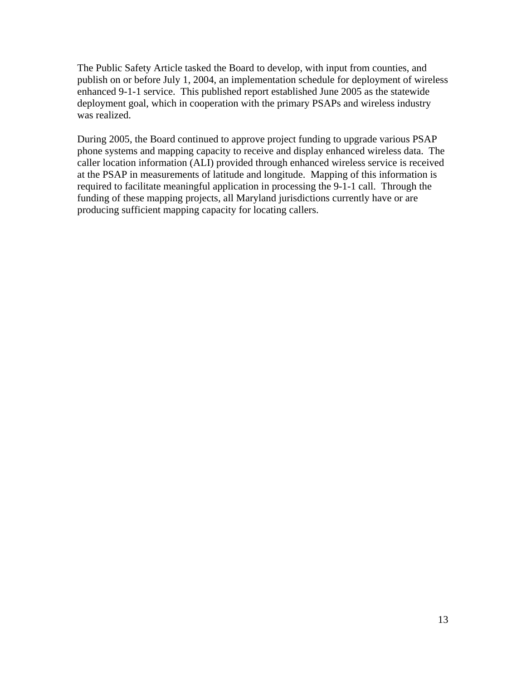The Public Safety Article tasked the Board to develop, with input from counties, and publish on or before July 1, 2004, an implementation schedule for deployment of wireless enhanced 9-1-1 service. This published report established June 2005 as the statewide deployment goal, which in cooperation with the primary PSAPs and wireless industry was realized.

During 2005, the Board continued to approve project funding to upgrade various PSAP phone systems and mapping capacity to receive and display enhanced wireless data. The caller location information (ALI) provided through enhanced wireless service is received at the PSAP in measurements of latitude and longitude. Mapping of this information is required to facilitate meaningful application in processing the 9-1-1 call. Through the funding of these mapping projects, all Maryland jurisdictions currently have or are producing sufficient mapping capacity for locating callers.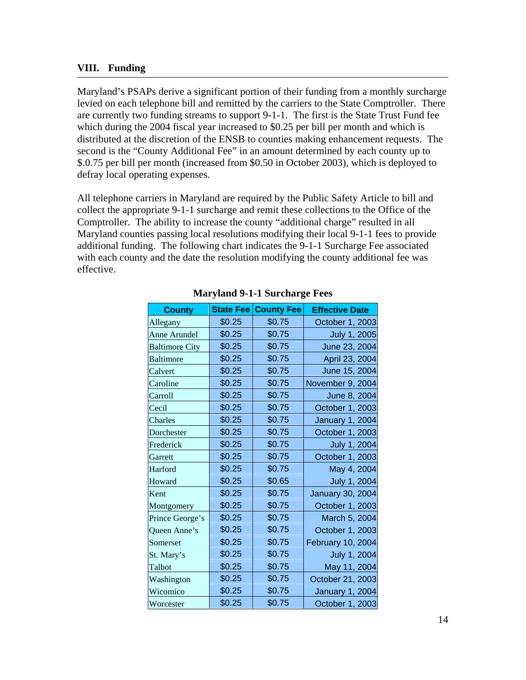# **VIII. Funding**

Maryland's PSAPs derive a significant portion of their funding from a monthly surcharge levied on each telephone bill and remitted by the carriers to the State Comptroller. There are currently two funding streams to support 9-1-1. The first is the State Trust Fund fee which during the 2004 fiscal year increased to \$0.25 per bill per month and which is distributed at the discretion of the ENSB to counties making enhancement requests. The second is the "County Additional Fee" in an amount determined by each county up to \$.0.75 per bill per month (increased from \$0.50 in October 2003), which is deployed to defray local operating expenses.

All telephone carriers in Maryland are required by the Public Safety Article to bill and collect the appropriate 9-1-1 surcharge and remit these collections to the Office of the Comptroller. The ability to increase the county "additional charge" resulted in all Maryland counties passing local resolutions modifying their local 9-1-1 fees to provide additional funding. The following chart indicates the 9-1-1 Surcharge Fee associated with each county and the date the resolution modifying the county additional fee was effective.

| <b>County</b>         | <b>State Fee</b> | <b>County Fee</b> | <b>Effective Date</b>   |
|-----------------------|------------------|-------------------|-------------------------|
| Allegany              | \$0.25           | \$0.75            | October 1, 2003         |
| <b>Anne Arundel</b>   | \$0.25           | \$0.75            | July 1, 2005            |
| <b>Baltimore City</b> | \$0.25           | \$0.75            | June 23, 2004           |
| <b>Baltimore</b>      | \$0.25           | \$0.75            | April 23, 2004          |
| Calvert               | \$0.25           | \$0.75            | June 15, 2004           |
| Caroline              | \$0.25           | \$0.75            | November 9, 2004        |
| Carroll               | \$0.25           | \$0.75            | June 8, 2004            |
| Cecil                 | \$0.25           | \$0.75            | October 1, 2003         |
| Charles               | \$0.25           | \$0.75            | <b>January 1, 2004</b>  |
| Dorchester            | \$0.25           | \$0.75            | October 1, 2003         |
| Frederick             | \$0.25           | \$0.75            | July 1, 2004            |
| Garrett               | \$0.25           | \$0.75            | October 1, 2003         |
| Harford               | \$0.25           | \$0.75            | May 4, 2004             |
| Howard                | \$0.25           | \$0.65            | July 1, 2004            |
| Kent                  | \$0.25           | \$0.75            | <b>January 30, 2004</b> |
| Montgomery            | \$0.25           | \$0.75            | October 1, 2003         |
| Prince George's       | \$0.25           | \$0.75            | March 5, 2004           |
| Queen Anne's          | \$0.25           | \$0.75            | October 1, 2003         |
| Somerset              | \$0.25           | \$0.75            | February 10, 2004       |
| St. Mary's            | \$0.25           | \$0.75            | July 1, 2004            |
| Talbot                | \$0.25           | \$0.75            | May 11, 2004            |
| Washington            | \$0.25           | \$0.75            | October 21, 2003        |
| Wicomico              | \$0.25           | \$0.75            | <b>January 1, 2004</b>  |
| Worcester             | \$0.25           | \$0.75            | October 1, 2003         |

# **Maryland 9-1-1 Surcharge Fees**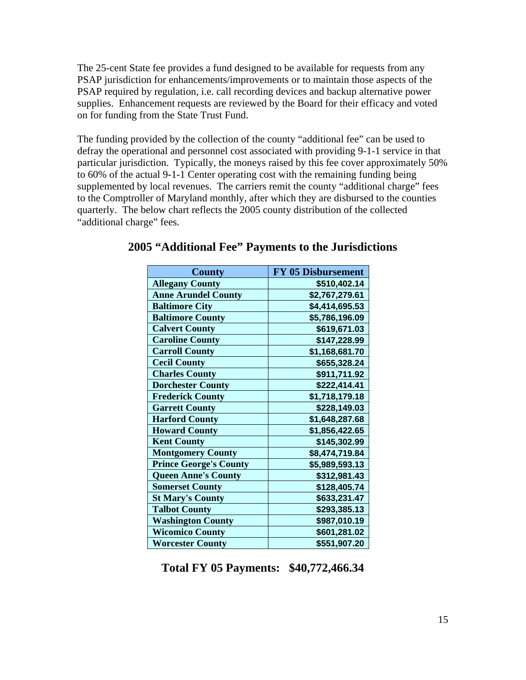The 25-cent State fee provides a fund designed to be available for requests from any PSAP jurisdiction for enhancements/improvements or to maintain those aspects of the PSAP required by regulation, i.e. call recording devices and backup alternative power supplies. Enhancement requests are reviewed by the Board for their efficacy and voted on for funding from the State Trust Fund.

The funding provided by the collection of the county "additional fee" can be used to defray the operational and personnel cost associated with providing 9-1-1 service in that particular jurisdiction. Typically, the moneys raised by this fee cover approximately 50% to 60% of the actual 9-1-1 Center operating cost with the remaining funding being supplemented by local revenues. The carriers remit the county "additional charge" fees to the Comptroller of Maryland monthly, after which they are disbursed to the counties quarterly. The below chart reflects the 2005 county distribution of the collected "additional charge" fees.

| <b>County</b>                 | <b>FY 05 Disbursement</b> |
|-------------------------------|---------------------------|
| <b>Allegany County</b>        | \$510,402.14              |
| <b>Anne Arundel County</b>    | \$2,767,279.61            |
| <b>Baltimore City</b>         | \$4,414,695.53            |
| <b>Baltimore County</b>       | \$5,786,196.09            |
| <b>Calvert County</b>         | \$619,671.03              |
| <b>Caroline County</b>        | \$147,228.99              |
| <b>Carroll County</b>         | \$1,168,681.70            |
| <b>Cecil County</b>           | \$655,328.24              |
| <b>Charles County</b>         | \$911,711.92              |
| <b>Dorchester County</b>      | \$222,414.41              |
| <b>Frederick County</b>       | \$1,718,179.18            |
| <b>Garrett County</b>         | \$228,149.03              |
| <b>Harford County</b>         | \$1,648,287.68            |
| <b>Howard County</b>          | \$1,856,422.65            |
| <b>Kent County</b>            | \$145,302.99              |
| <b>Montgomery County</b>      | \$8,474,719.84            |
| <b>Prince George's County</b> | \$5,989,593.13            |
| <b>Queen Anne's County</b>    | \$312,981.43              |
| <b>Somerset County</b>        | \$128,405.74              |
| <b>St Mary's County</b>       | \$633,231.47              |
| <b>Talbot County</b>          | \$293,385.13              |
| <b>Washington County</b>      | \$987,010.19              |
| <b>Wicomico County</b>        | \$601,281.02              |
| <b>Worcester County</b>       | \$551,907.20              |

# **2005 "Additional Fee" Payments to the Jurisdictions**

**Total FY 05 Payments: \$40,772,466.34**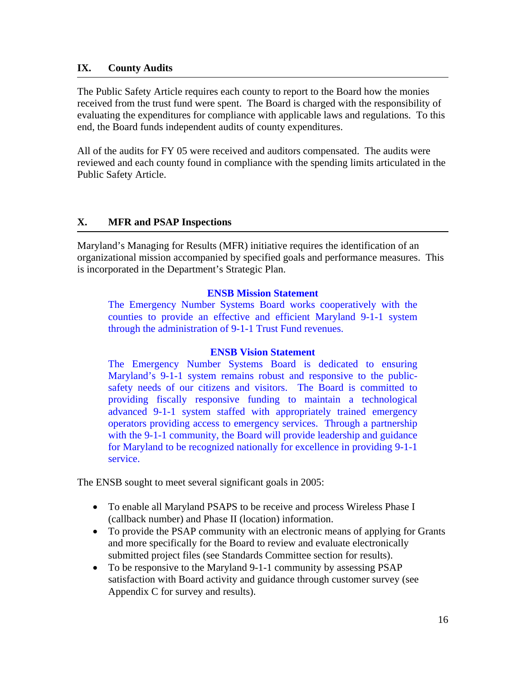# **IX. County Audits**

The Public Safety Article requires each county to report to the Board how the monies received from the trust fund were spent. The Board is charged with the responsibility of evaluating the expenditures for compliance with applicable laws and regulations. To this end, the Board funds independent audits of county expenditures.

All of the audits for FY 05 were received and auditors compensated. The audits were reviewed and each county found in compliance with the spending limits articulated in the Public Safety Article.

# **X. MFR and PSAP Inspections**

Maryland's Managing for Results (MFR) initiative requires the identification of an organizational mission accompanied by specified goals and performance measures. This is incorporated in the Department's Strategic Plan.

# **ENSB Mission Statement**

The Emergency Number Systems Board works cooperatively with the counties to provide an effective and efficient Maryland 9-1-1 system through the administration of 9-1-1 Trust Fund revenues.

# **ENSB Vision Statement**

The Emergency Number Systems Board is dedicated to ensuring Maryland's 9-1-1 system remains robust and responsive to the publicsafety needs of our citizens and visitors. The Board is committed to providing fiscally responsive funding to maintain a technological advanced 9-1-1 system staffed with appropriately trained emergency operators providing access to emergency services. Through a partnership with the 9-1-1 community, the Board will provide leadership and guidance for Maryland to be recognized nationally for excellence in providing 9-1-1 service.

The ENSB sought to meet several significant goals in 2005:

- To enable all Maryland PSAPS to be receive and process Wireless Phase I (callback number) and Phase II (location) information.
- To provide the PSAP community with an electronic means of applying for Grants and more specifically for the Board to review and evaluate electronically submitted project files (see Standards Committee section for results).
- To be responsive to the Maryland 9-1-1 community by assessing PSAP satisfaction with Board activity and guidance through customer survey (see Appendix C for survey and results).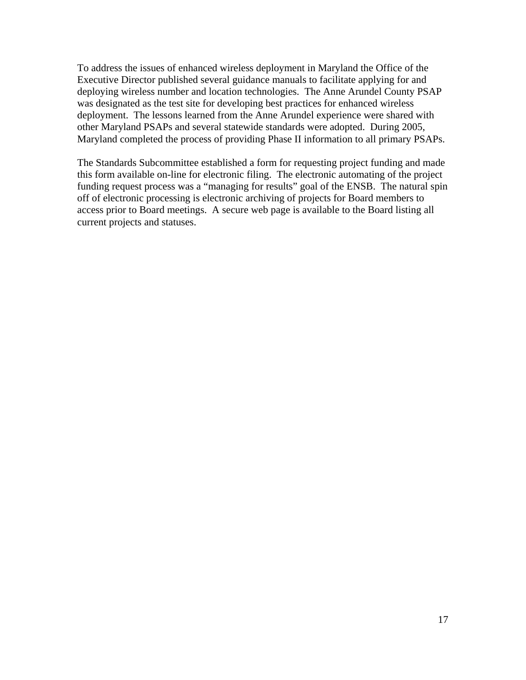To address the issues of enhanced wireless deployment in Maryland the Office of the Executive Director published several guidance manuals to facilitate applying for and deploying wireless number and location technologies. The Anne Arundel County PSAP was designated as the test site for developing best practices for enhanced wireless deployment. The lessons learned from the Anne Arundel experience were shared with other Maryland PSAPs and several statewide standards were adopted. During 2005, Maryland completed the process of providing Phase II information to all primary PSAPs.

The Standards Subcommittee established a form for requesting project funding and made this form available on-line for electronic filing. The electronic automating of the project funding request process was a "managing for results" goal of the ENSB. The natural spin off of electronic processing is electronic archiving of projects for Board members to access prior to Board meetings. A secure web page is available to the Board listing all current projects and statuses.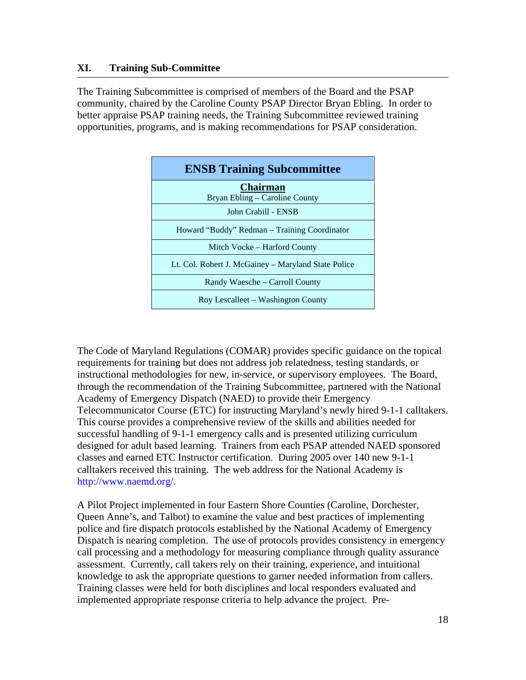# **XI. Training Sub-Committee**

1

The Training Subcommittee is comprised of members of the Board and the PSAP community, chaired by the Caroline County PSAP Director Bryan Ebling. In order to better appraise PSAP training needs, the Training Subcommittee reviewed training opportunities, programs, and is making recommendations for PSAP consideration.

| <b>ENSB Training Subcommittee</b>                   |
|-----------------------------------------------------|
| <b>Chairman</b><br>Bryan Ebling – Caroline County   |
| John Crabill - ENSB                                 |
| Howard "Buddy" Redman – Training Coordinator        |
| Mitch Vocke – Harford County                        |
| Lt. Col. Robert J. McGainey – Maryland State Police |
| Randy Waesche – Carroll County                      |
| Roy Lescalleet – Washington County                  |

The Code of Maryland Regulations (COMAR) provides specific guidance on the topical requirements for training but does not address job relatedness, testing standards, or instructional methodologies for new, in-service, or supervisory employees. The Board, through the recommendation of the Training Subcommittee, partnered with the National Academy of Emergency Dispatch (NAED) to provide their Emergency Telecommunicator Course (ETC) for instructing Maryland's newly hired 9-1-1 calltakers. This course provides a comprehensive review of the skills and abilities needed for successful handling of 9-1-1 emergency calls and is presented utilizing curriculum designed for adult based learning. Trainers from each PSAP attended NAED sponsored classes and earned ETC Instructor certification. During 2005 over 140 new 9-1-1 calltakers received this training. The web address for the National Academy is http://www.naemd.org/.

A Pilot Project implemented in four Eastern Shore Counties (Caroline, Dorchester, Queen Anne's, and Talbot) to examine the value and best practices of implementing police and fire dispatch protocols established by the National Academy of Emergency Dispatch is nearing completion. The use of protocols provides consistency in emergency call processing and a methodology for measuring compliance through quality assurance assessment. Currently, call takers rely on their training, experience, and intuitional knowledge to ask the appropriate questions to garner needed information from callers. Training classes were held for both disciplines and local responders evaluated and implemented appropriate response criteria to help advance the project. Pre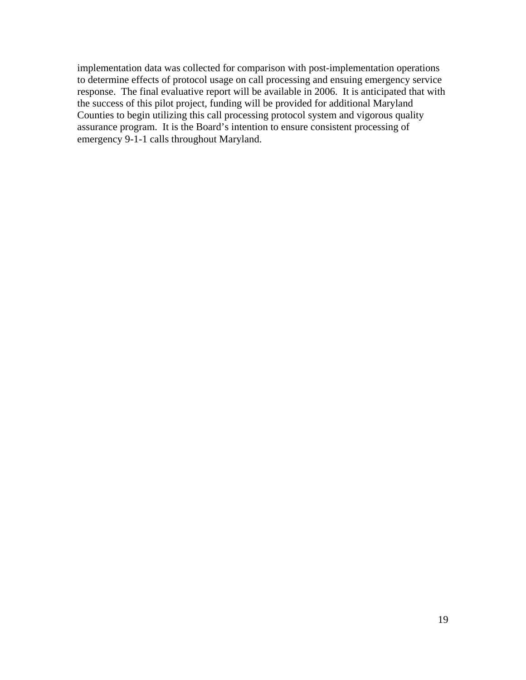implementation data was collected for comparison with post-implementation operations to determine effects of protocol usage on call processing and ensuing emergency service response. The final evaluative report will be available in 2006. It is anticipated that with the success of this pilot project, funding will be provided for additional Maryland Counties to begin utilizing this call processing protocol system and vigorous quality assurance program. It is the Board's intention to ensure consistent processing of emergency 9-1-1 calls throughout Maryland.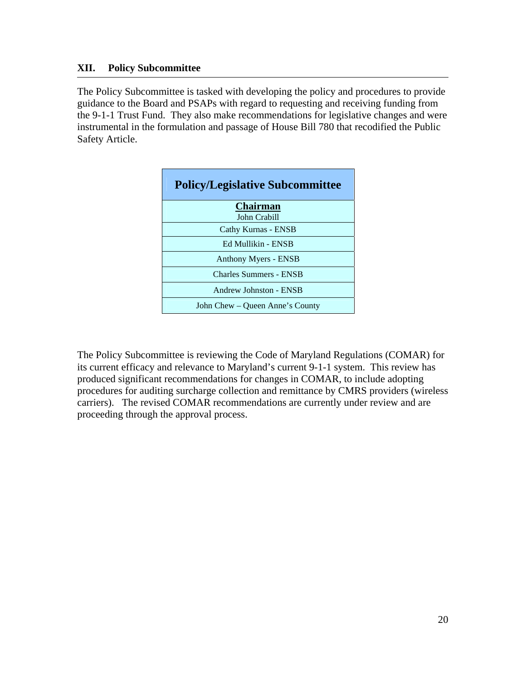# **XII. Policy Subcommittee**

The Policy Subcommittee is tasked with developing the policy and procedures to provide guidance to the Board and PSAPs with regard to requesting and receiving funding from the 9-1-1 Trust Fund. They also make recommendations for legislative changes and were instrumental in the formulation and passage of House Bill 780 that recodified the Public Safety Article.

| <b>Policy/Legislative Subcommittee</b> |  |  |
|----------------------------------------|--|--|
| <b>Chairman</b>                        |  |  |
| John Crabill<br>Cathy Kurnas - ENSB    |  |  |
| Ed Mullikin - ENSB                     |  |  |
| Anthony Myers - ENSB                   |  |  |
| <b>Charles Summers - ENSB</b>          |  |  |
| Andrew Johnston - ENSB                 |  |  |
| John Chew – Queen Anne's County        |  |  |

The Policy Subcommittee is reviewing the Code of Maryland Regulations (COMAR) for its current efficacy and relevance to Maryland's current 9-1-1 system. This review has produced significant recommendations for changes in COMAR, to include adopting procedures for auditing surcharge collection and remittance by CMRS providers (wireless carriers). The revised COMAR recommendations are currently under review and are proceeding through the approval process.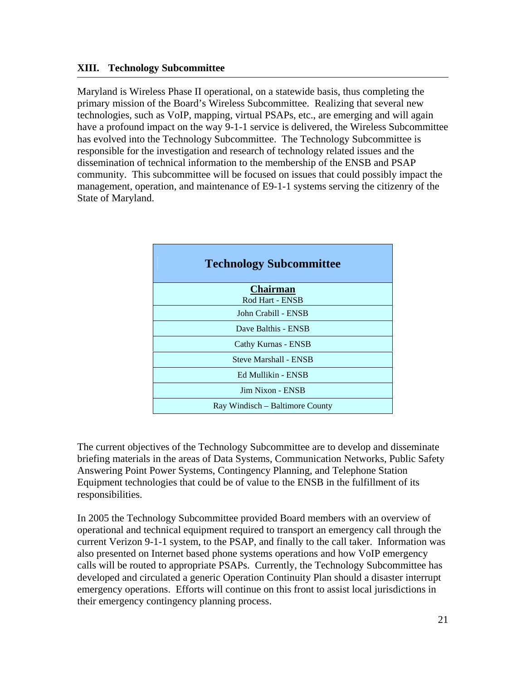## **XIII. Technology Subcommittee**

Maryland is Wireless Phase II operational, on a statewide basis, thus completing the primary mission of the Board's Wireless Subcommittee. Realizing that several new technologies, such as VoIP, mapping, virtual PSAPs, etc., are emerging and will again have a profound impact on the way 9-1-1 service is delivered, the Wireless Subcommittee has evolved into the Technology Subcommittee. The Technology Subcommittee is responsible for the investigation and research of technology related issues and the dissemination of technical information to the membership of the ENSB and PSAP community. This subcommittee will be focused on issues that could possibly impact the management, operation, and maintenance of E9-1-1 systems serving the citizenry of the State of Maryland.

| <b>Technology Subcommittee</b>  |  |  |
|---------------------------------|--|--|
| <b>Chairman</b>                 |  |  |
| Rod Hart - ENSB                 |  |  |
| John Crabill - ENSB             |  |  |
| Dave Balthis - ENSB             |  |  |
| Cathy Kurnas - ENSB             |  |  |
| <b>Steve Marshall - ENSB</b>    |  |  |
| Ed Mullikin - ENSB              |  |  |
| Jim Nixon - ENSB                |  |  |
| Ray Windisch – Baltimore County |  |  |

The current objectives of the Technology Subcommittee are to develop and disseminate briefing materials in the areas of Data Systems, Communication Networks, Public Safety Answering Point Power Systems, Contingency Planning, and Telephone Station Equipment technologies that could be of value to the ENSB in the fulfillment of its responsibilities.

In 2005 the Technology Subcommittee provided Board members with an overview of operational and technical equipment required to transport an emergency call through the current Verizon 9-1-1 system, to the PSAP, and finally to the call taker. Information was also presented on Internet based phone systems operations and how VoIP emergency calls will be routed to appropriate PSAPs. Currently, the Technology Subcommittee has developed and circulated a generic Operation Continuity Plan should a disaster interrupt emergency operations. Efforts will continue on this front to assist local jurisdictions in their emergency contingency planning process.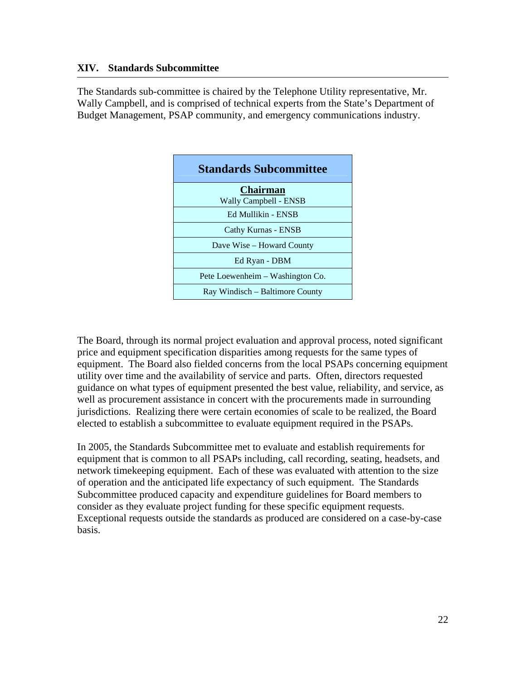# **XIV. Standards Subcommittee**

The Standards sub-committee is chaired by the Telephone Utility representative, Mr. Wally Campbell, and is comprised of technical experts from the State's Department of Budget Management, PSAP community, and emergency communications industry.



The Board, through its normal project evaluation and approval process, noted significant price and equipment specification disparities among requests for the same types of equipment. The Board also fielded concerns from the local PSAPs concerning equipment utility over time and the availability of service and parts. Often, directors requested guidance on what types of equipment presented the best value, reliability, and service, as well as procurement assistance in concert with the procurements made in surrounding jurisdictions. Realizing there were certain economies of scale to be realized, the Board elected to establish a subcommittee to evaluate equipment required in the PSAPs.

In 2005, the Standards Subcommittee met to evaluate and establish requirements for equipment that is common to all PSAPs including, call recording, seating, headsets, and network timekeeping equipment. Each of these was evaluated with attention to the size of operation and the anticipated life expectancy of such equipment. The Standards Subcommittee produced capacity and expenditure guidelines for Board members to consider as they evaluate project funding for these specific equipment requests. Exceptional requests outside the standards as produced are considered on a case-by-case basis.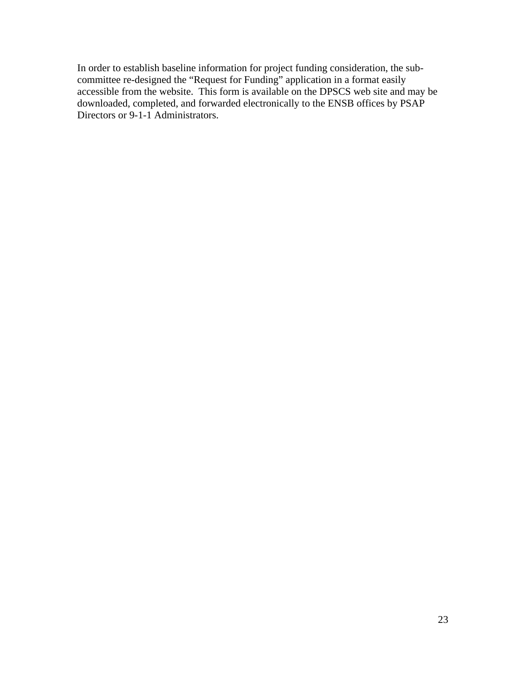In order to establish baseline information for project funding consideration, the subcommittee re-designed the "Request for Funding" application in a format easily accessible from the website. This form is available on the DPSCS web site and may be downloaded, completed, and forwarded electronically to the ENSB offices by PSAP Directors or 9-1-1 Administrators.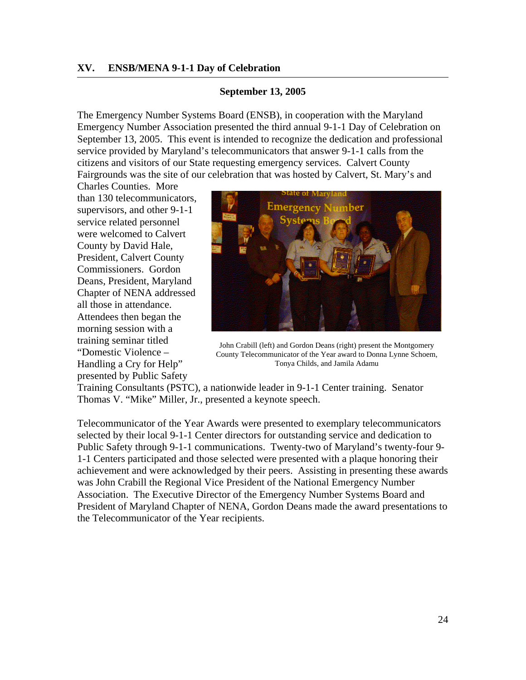#### **XV. ENSB/MENA 9-1-1 Day of Celebration**

#### **September 13, 2005**

The Emergency Number Systems Board (ENSB), in cooperation with the Maryland Emergency Number Association presented the third annual 9-1-1 Day of Celebration on September 13, 2005. This event is intended to recognize the dedication and professional service provided by Maryland's telecommunicators that answer 9-1-1 calls from the citizens and visitors of our State requesting emergency services. Calvert County Fairgrounds was the site of our celebration that was hosted by Calvert, St. Mary's and

Charles Counties. More than 130 telecommunicators, supervisors, and other 9-1-1 service related personnel were welcomed to Calvert County by David Hale, President, Calvert County Commissioners. Gordon Deans, President, Maryland Chapter of NENA addressed all those in attendance. Attendees then began the morning session with a training seminar titled "Domestic Violence – Handling a Cry for Help" presented by Public Safety



John Crabill (left) and Gordon Deans (right) present the Montgomery County Telecommunicator of the Year award to Donna Lynne Schoem, Tonya Childs, and Jamila Adamu

Training Consultants (PSTC), a nationwide leader in 9-1-1 Center training. Senator Thomas V. "Mike" Miller, Jr., presented a keynote speech.

Telecommunicator of the Year Awards were presented to exemplary telecommunicators selected by their local 9-1-1 Center directors for outstanding service and dedication to Public Safety through 9-1-1 communications. Twenty-two of Maryland's twenty-four 9- 1-1 Centers participated and those selected were presented with a plaque honoring their achievement and were acknowledged by their peers. Assisting in presenting these awards was John Crabill the Regional Vice President of the National Emergency Number Association. The Executive Director of the Emergency Number Systems Board and President of Maryland Chapter of NENA, Gordon Deans made the award presentations to the Telecommunicator of the Year recipients.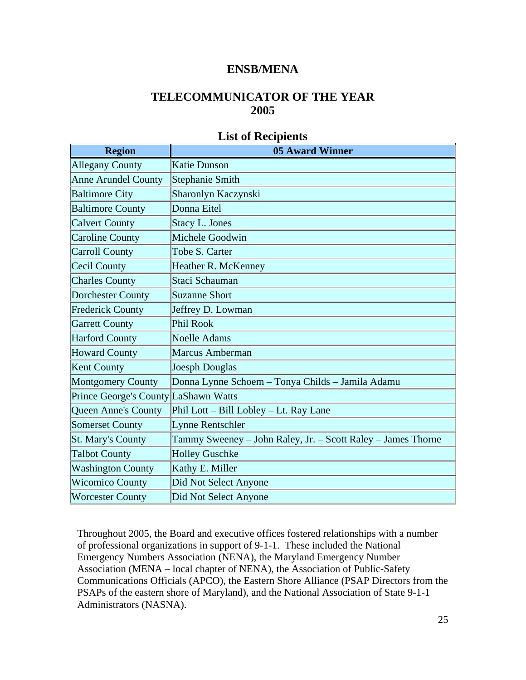# **ENSB/MENA**

# **TELECOMMUNICATOR OF THE YEAR 2005**

# **List of Recipients**

| <b>Region</b>                        | <b>05 Award Winner</b>                                       |
|--------------------------------------|--------------------------------------------------------------|
| <b>Allegany County</b>               | <b>Katie Dunson</b>                                          |
| <b>Anne Arundel County</b>           | <b>Stephanie Smith</b>                                       |
| <b>Baltimore City</b>                | Sharonlyn Kaczynski                                          |
| <b>Baltimore County</b>              | Donna Eitel                                                  |
| <b>Calvert County</b>                | <b>Stacy L. Jones</b>                                        |
| <b>Caroline County</b>               | Michele Goodwin                                              |
| <b>Carroll County</b>                | Tobe S. Carter                                               |
| <b>Cecil County</b>                  | Heather R. McKenney                                          |
| <b>Charles County</b>                | Staci Schauman                                               |
| <b>Dorchester County</b>             | <b>Suzanne Short</b>                                         |
| <b>Frederick County</b>              | Jeffrey D. Lowman                                            |
| <b>Garrett County</b>                | Phil Rook                                                    |
| <b>Harford County</b>                | <b>Noelle Adams</b>                                          |
| <b>Howard County</b>                 | Marcus Amberman                                              |
| <b>Kent County</b>                   | <b>Joesph Douglas</b>                                        |
| <b>Montgomery County</b>             | Donna Lynne Schoem - Tonya Childs - Jamila Adamu             |
| Prince George's County LaShawn Watts |                                                              |
| <b>Queen Anne's County</b>           | Phil Lott – Bill Lobley – Lt. Ray Lane                       |
| <b>Somerset County</b>               | <b>Lynne Rentschler</b>                                      |
| <b>St. Mary's County</b>             | Tammy Sweeney - John Raley, Jr. - Scott Raley - James Thorne |
| <b>Talbot County</b>                 | <b>Holley Guschke</b>                                        |
| <b>Washington County</b>             | Kathy E. Miller                                              |
| <b>Wicomico County</b>               | Did Not Select Anyone                                        |
| <b>Worcester County</b>              | Did Not Select Anyone                                        |

Throughout 2005, the Board and executive offices fostered relationships with a number of professional organizations in support of 9-1-1. These included the National Emergency Numbers Association (NENA), the Maryland Emergency Number Association (MENA – local chapter of NENA), the Association of Public-Safety Communications Officials (APCO), the Eastern Shore Alliance (PSAP Directors from the PSAPs of the eastern shore of Maryland), and the National Association of State 9-1-1 Administrators (NASNA).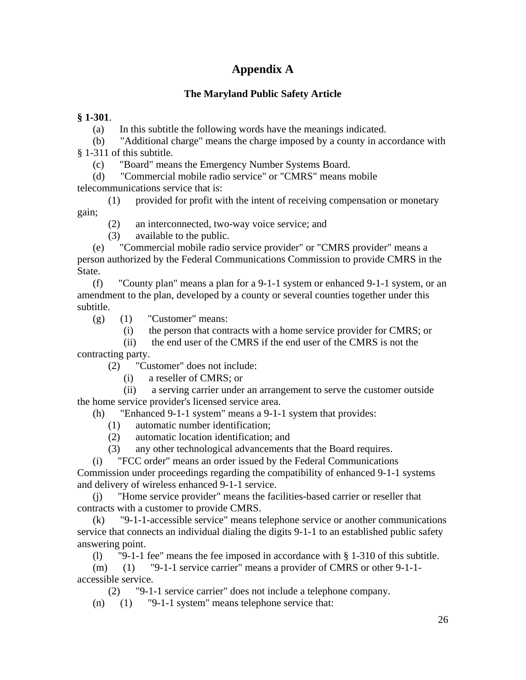# **Appendix A**

# **The Maryland Public Safety Article**

# **§ 1-301**.

(a) In this subtitle the following words have the meanings indicated.

 (b) "Additional charge" means the charge imposed by a county in accordance with § 1-311 of this subtitle.

(c) "Board" means the Emergency Number Systems Board.

 (d) "Commercial mobile radio service" or "CMRS" means mobile telecommunications service that is:

 (1) provided for profit with the intent of receiving compensation or monetary gain;

(2) an interconnected, two-way voice service; and

(3) available to the public.

 (e) "Commercial mobile radio service provider" or "CMRS provider" means a person authorized by the Federal Communications Commission to provide CMRS in the State.

 (f) "County plan" means a plan for a 9-1-1 system or enhanced 9-1-1 system, or an amendment to the plan, developed by a county or several counties together under this subtitle.

 $(g)$  (1) "Customer" means:

(i) the person that contracts with a home service provider for CMRS; or

 (ii) the end user of the CMRS if the end user of the CMRS is not the contracting party.

(2) "Customer" does not include:

(i) a reseller of CMRS; or

 (ii) a serving carrier under an arrangement to serve the customer outside the home service provider's licensed service area.

(h) "Enhanced 9-1-1 system" means a 9-1-1 system that provides:

(1) automatic number identification;

(2) automatic location identification; and

(3) any other technological advancements that the Board requires.

 (i) "FCC order" means an order issued by the Federal Communications Commission under proceedings regarding the compatibility of enhanced 9-1-1 systems and delivery of wireless enhanced 9-1-1 service.

 (j) "Home service provider" means the facilities-based carrier or reseller that contracts with a customer to provide CMRS.

 (k) "9-1-1-accessible service" means telephone service or another communications service that connects an individual dialing the digits 9-1-1 to an established public safety answering point.

(l) "9-1-1 fee" means the fee imposed in accordance with § 1-310 of this subtitle.

 (m) (1) "9-1-1 service carrier" means a provider of CMRS or other 9-1-1 accessible service.

(2) "9-1-1 service carrier" does not include a telephone company.

(n) (1) "9-1-1 system" means telephone service that: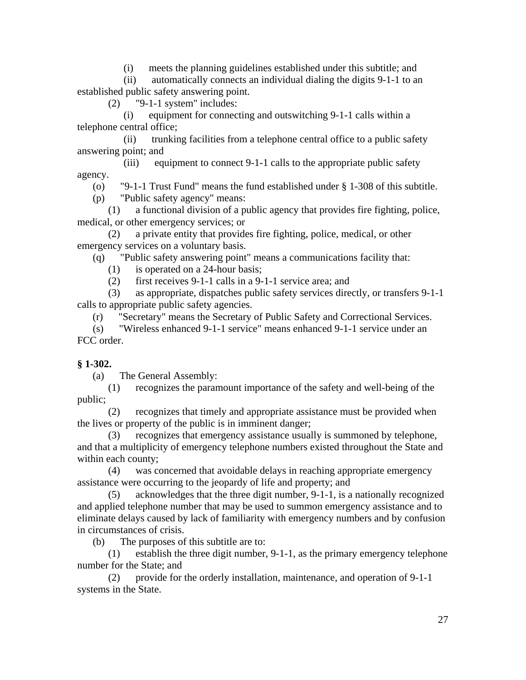(i) meets the planning guidelines established under this subtitle; and

 (ii) automatically connects an individual dialing the digits 9-1-1 to an established public safety answering point.

(2) "9-1-1 system" includes:

equipment for connecting and outswitching 9-1-1 calls within a telephone central office;

 (ii) trunking facilities from a telephone central office to a public safety answering point; and

 (iii) equipment to connect 9-1-1 calls to the appropriate public safety agency.

(o) "9-1-1 Trust Fund" means the fund established under § 1-308 of this subtitle.

(p) "Public safety agency" means:

 (1) a functional division of a public agency that provides fire fighting, police, medical, or other emergency services; or

 (2) a private entity that provides fire fighting, police, medical, or other emergency services on a voluntary basis.

(q) "Public safety answering point" means a communications facility that:

- (1) is operated on a 24-hour basis;
- (2) first receives 9-1-1 calls in a 9-1-1 service area; and

 (3) as appropriate, dispatches public safety services directly, or transfers 9-1-1 calls to appropriate public safety agencies.

(r) "Secretary" means the Secretary of Public Safety and Correctional Services.

 (s) "Wireless enhanced 9-1-1 service" means enhanced 9-1-1 service under an FCC order.

# **§ 1-302.**

(a) The General Assembly:

 (1) recognizes the paramount importance of the safety and well-being of the public;

 (2) recognizes that timely and appropriate assistance must be provided when the lives or property of the public is in imminent danger;

 (3) recognizes that emergency assistance usually is summoned by telephone, and that a multiplicity of emergency telephone numbers existed throughout the State and within each county;

 (4) was concerned that avoidable delays in reaching appropriate emergency assistance were occurring to the jeopardy of life and property; and

 (5) acknowledges that the three digit number, 9-1-1, is a nationally recognized and applied telephone number that may be used to summon emergency assistance and to eliminate delays caused by lack of familiarity with emergency numbers and by confusion in circumstances of crisis.

(b) The purposes of this subtitle are to:

 (1) establish the three digit number, 9-1-1, as the primary emergency telephone number for the State; and

 (2) provide for the orderly installation, maintenance, and operation of 9-1-1 systems in the State.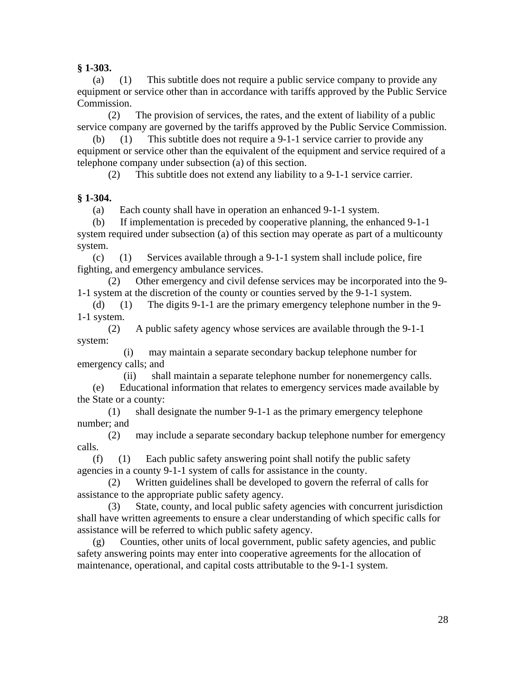**§ 1-303.** 

 (a) (1) This subtitle does not require a public service company to provide any equipment or service other than in accordance with tariffs approved by the Public Service Commission.

 (2) The provision of services, the rates, and the extent of liability of a public service company are governed by the tariffs approved by the Public Service Commission.

 (b) (1) This subtitle does not require a 9-1-1 service carrier to provide any equipment or service other than the equivalent of the equipment and service required of a telephone company under subsection (a) of this section.

(2) This subtitle does not extend any liability to a 9-1-1 service carrier.

# **§ 1-304.**

(a) Each county shall have in operation an enhanced 9-1-1 system.

 (b) If implementation is preceded by cooperative planning, the enhanced 9-1-1 system required under subsection (a) of this section may operate as part of a multicounty system.

(c) (1) Services available through a  $9-1-1$  system shall include police, fire fighting, and emergency ambulance services.

 (2) Other emergency and civil defense services may be incorporated into the 9- 1-1 system at the discretion of the county or counties served by the 9-1-1 system.

 (d) (1) The digits 9-1-1 are the primary emergency telephone number in the 9- 1-1 system.

 (2) A public safety agency whose services are available through the 9-1-1 system:

 (i) may maintain a separate secondary backup telephone number for emergency calls; and

(ii) shall maintain a separate telephone number for nonemergency calls.

 (e) Educational information that relates to emergency services made available by the State or a county:

 (1) shall designate the number 9-1-1 as the primary emergency telephone number; and

 (2) may include a separate secondary backup telephone number for emergency calls.

 (f) (1) Each public safety answering point shall notify the public safety agencies in a county 9-1-1 system of calls for assistance in the county.

 (2) Written guidelines shall be developed to govern the referral of calls for assistance to the appropriate public safety agency.

 (3) State, county, and local public safety agencies with concurrent jurisdiction shall have written agreements to ensure a clear understanding of which specific calls for assistance will be referred to which public safety agency.

 (g) Counties, other units of local government, public safety agencies, and public safety answering points may enter into cooperative agreements for the allocation of maintenance, operational, and capital costs attributable to the 9-1-1 system.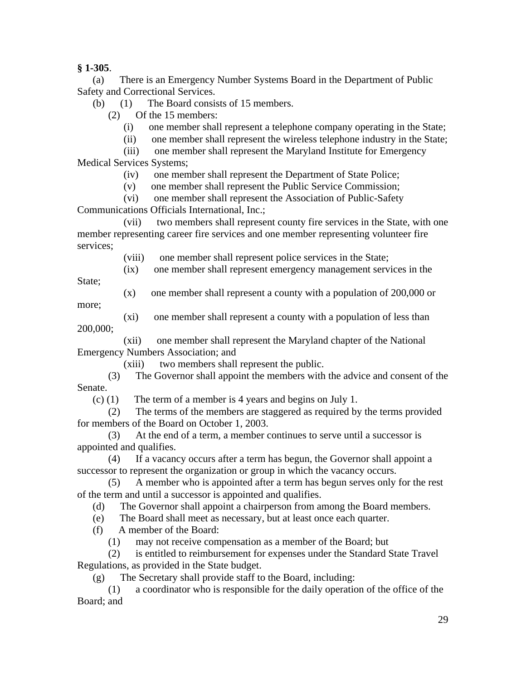**§ 1-305**.

 (a) There is an Emergency Number Systems Board in the Department of Public Safety and Correctional Services.

(b) (1) The Board consists of 15 members.

(2) Of the 15 members:

(i) one member shall represent a telephone company operating in the State;

(ii) one member shall represent the wireless telephone industry in the State;

 (iii) one member shall represent the Maryland Institute for Emergency Medical Services Systems;

(iv) one member shall represent the Department of State Police;

(v) one member shall represent the Public Service Commission;

(vi) one member shall represent the Association of Public-Safety

Communications Officials International, Inc.;

 (vii) two members shall represent county fire services in the State, with one member representing career fire services and one member representing volunteer fire services;

(viii) one member shall represent police services in the State;

(ix) one member shall represent emergency management services in the

State:

(x) one member shall represent a county with a population of 200,000 or

more;

 (xi) one member shall represent a county with a population of less than 200,000;

 (xii) one member shall represent the Maryland chapter of the National Emergency Numbers Association; and

(xiii) two members shall represent the public.

 (3) The Governor shall appoint the members with the advice and consent of the Senate.

(c) (1) The term of a member is 4 years and begins on July 1.

 (2) The terms of the members are staggered as required by the terms provided for members of the Board on October 1, 2003.

 (3) At the end of a term, a member continues to serve until a successor is appointed and qualifies.

 (4) If a vacancy occurs after a term has begun, the Governor shall appoint a successor to represent the organization or group in which the vacancy occurs.

 (5) A member who is appointed after a term has begun serves only for the rest of the term and until a successor is appointed and qualifies.

(d) The Governor shall appoint a chairperson from among the Board members.

(e) The Board shall meet as necessary, but at least once each quarter.

(f) A member of the Board:

(1) may not receive compensation as a member of the Board; but

 (2) is entitled to reimbursement for expenses under the Standard State Travel Regulations, as provided in the State budget.

(g) The Secretary shall provide staff to the Board, including:

 (1) a coordinator who is responsible for the daily operation of the office of the Board; and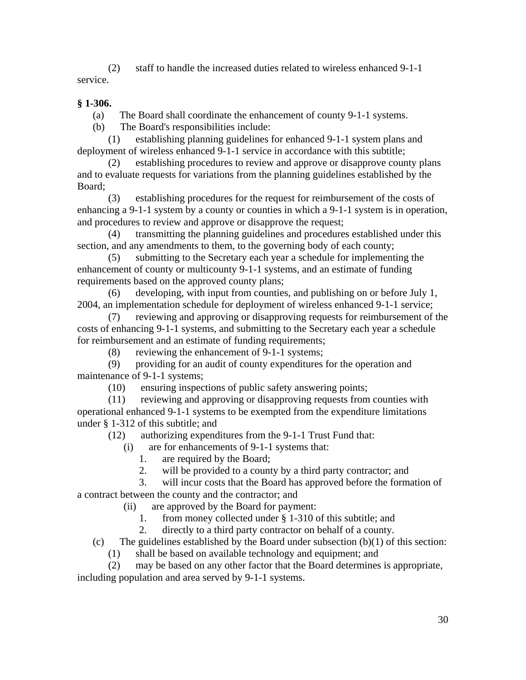(2) staff to handle the increased duties related to wireless enhanced 9-1-1 service.

# **§ 1-306.**

(a) The Board shall coordinate the enhancement of county 9-1-1 systems.

(b) The Board's responsibilities include:

 (1) establishing planning guidelines for enhanced 9-1-1 system plans and deployment of wireless enhanced 9-1-1 service in accordance with this subtitle;

 (2) establishing procedures to review and approve or disapprove county plans and to evaluate requests for variations from the planning guidelines established by the Board;

 (3) establishing procedures for the request for reimbursement of the costs of enhancing a 9-1-1 system by a county or counties in which a 9-1-1 system is in operation, and procedures to review and approve or disapprove the request;

 (4) transmitting the planning guidelines and procedures established under this section, and any amendments to them, to the governing body of each county;

 (5) submitting to the Secretary each year a schedule for implementing the enhancement of county or multicounty 9-1-1 systems, and an estimate of funding requirements based on the approved county plans;

 (6) developing, with input from counties, and publishing on or before July 1, 2004, an implementation schedule for deployment of wireless enhanced 9-1-1 service;

 (7) reviewing and approving or disapproving requests for reimbursement of the costs of enhancing 9-1-1 systems, and submitting to the Secretary each year a schedule for reimbursement and an estimate of funding requirements;

(8) reviewing the enhancement of 9-1-1 systems;

 (9) providing for an audit of county expenditures for the operation and maintenance of 9-1-1 systems;

(10) ensuring inspections of public safety answering points;

 (11) reviewing and approving or disapproving requests from counties with operational enhanced 9-1-1 systems to be exempted from the expenditure limitations under § 1-312 of this subtitle; and

(12) authorizing expenditures from the 9-1-1 Trust Fund that:

(i) are for enhancements of 9-1-1 systems that:

1. are required by the Board;

2. will be provided to a county by a third party contractor; and

3. will incur costs that the Board has approved before the formation of

a contract between the county and the contractor; and

(ii) are approved by the Board for payment:

1. from money collected under § 1-310 of this subtitle; and

2. directly to a third party contractor on behalf of a county.

(c) The guidelines established by the Board under subsection  $(b)(1)$  of this section:

(1) shall be based on available technology and equipment; and

 (2) may be based on any other factor that the Board determines is appropriate, including population and area served by 9-1-1 systems.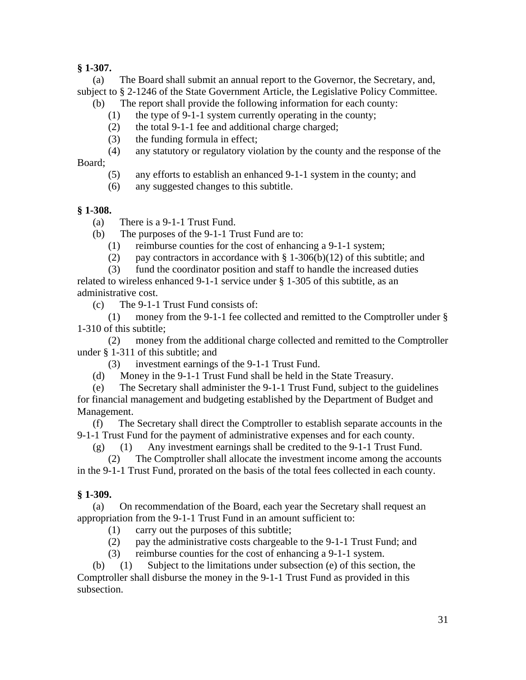# **§ 1-307.**

 (a) The Board shall submit an annual report to the Governor, the Secretary, and, subject to § 2-1246 of the State Government Article, the Legislative Policy Committee.

- (b) The report shall provide the following information for each county:
	- (1) the type of 9-1-1 system currently operating in the county;
	- (2) the total 9-1-1 fee and additional charge charged;
	- (3) the funding formula in effect;
	- (4) any statutory or regulatory violation by the county and the response of the

Board;

- (5) any efforts to establish an enhanced 9-1-1 system in the county; and
- (6) any suggested changes to this subtitle.

# **§ 1-308.**

- (a) There is a 9-1-1 Trust Fund.
- (b) The purposes of the 9-1-1 Trust Fund are to:
	- (1) reimburse counties for the cost of enhancing a 9-1-1 system;
	- (2) pay contractors in accordance with  $\S 1-306(b)(12)$  of this subtitle; and

 (3) fund the coordinator position and staff to handle the increased duties related to wireless enhanced 9-1-1 service under § 1-305 of this subtitle, as an administrative cost.

(c) The 9-1-1 Trust Fund consists of:

 (1) money from the 9-1-1 fee collected and remitted to the Comptroller under § 1-310 of this subtitle;

 (2) money from the additional charge collected and remitted to the Comptroller under § 1-311 of this subtitle; and

(3) investment earnings of the 9-1-1 Trust Fund.

(d) Money in the 9-1-1 Trust Fund shall be held in the State Treasury.

 (e) The Secretary shall administer the 9-1-1 Trust Fund, subject to the guidelines for financial management and budgeting established by the Department of Budget and Management.

 (f) The Secretary shall direct the Comptroller to establish separate accounts in the 9-1-1 Trust Fund for the payment of administrative expenses and for each county.

(g) (1) Any investment earnings shall be credited to the 9-1-1 Trust Fund.

 (2) The Comptroller shall allocate the investment income among the accounts in the 9-1-1 Trust Fund, prorated on the basis of the total fees collected in each county.

# **§ 1-309.**

 (a) On recommendation of the Board, each year the Secretary shall request an appropriation from the 9-1-1 Trust Fund in an amount sufficient to:

(1) carry out the purposes of this subtitle;

(2) pay the administrative costs chargeable to the 9-1-1 Trust Fund; and

(3) reimburse counties for the cost of enhancing a 9-1-1 system.

 (b) (1) Subject to the limitations under subsection (e) of this section, the Comptroller shall disburse the money in the 9-1-1 Trust Fund as provided in this subsection.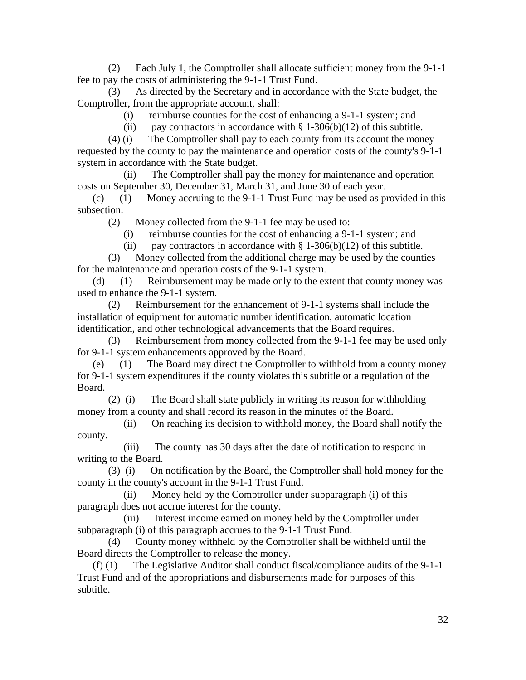(2) Each July 1, the Comptroller shall allocate sufficient money from the 9-1-1 fee to pay the costs of administering the 9-1-1 Trust Fund.

 (3) As directed by the Secretary and in accordance with the State budget, the Comptroller, from the appropriate account, shall:

(i) reimburse counties for the cost of enhancing a 9-1-1 system; and

(ii) pay contractors in accordance with  $\S 1-306(b)(12)$  of this subtitle.

 (4) (i) The Comptroller shall pay to each county from its account the money requested by the county to pay the maintenance and operation costs of the county's 9-1-1 system in accordance with the State budget.

 (ii) The Comptroller shall pay the money for maintenance and operation costs on September 30, December 31, March 31, and June 30 of each year.

 (c) (1) Money accruing to the 9-1-1 Trust Fund may be used as provided in this subsection.

(2) Money collected from the 9-1-1 fee may be used to:

(i) reimburse counties for the cost of enhancing a 9-1-1 system; and

(ii) pay contractors in accordance with  $\S 1-306(b)(12)$  of this subtitle.

 (3) Money collected from the additional charge may be used by the counties for the maintenance and operation costs of the 9-1-1 system.

 (d) (1) Reimbursement may be made only to the extent that county money was used to enhance the 9-1-1 system.

 (2) Reimbursement for the enhancement of 9-1-1 systems shall include the installation of equipment for automatic number identification, automatic location identification, and other technological advancements that the Board requires.

 (3) Reimbursement from money collected from the 9-1-1 fee may be used only for 9-1-1 system enhancements approved by the Board.

 (e) (1) The Board may direct the Comptroller to withhold from a county money for 9-1-1 system expenditures if the county violates this subtitle or a regulation of the Board.

 (2) (i) The Board shall state publicly in writing its reason for withholding money from a county and shall record its reason in the minutes of the Board.

 (ii) On reaching its decision to withhold money, the Board shall notify the county.

 (iii) The county has 30 days after the date of notification to respond in writing to the Board.

 (3) (i) On notification by the Board, the Comptroller shall hold money for the county in the county's account in the 9-1-1 Trust Fund.

 (ii) Money held by the Comptroller under subparagraph (i) of this paragraph does not accrue interest for the county.

 (iii) Interest income earned on money held by the Comptroller under subparagraph (i) of this paragraph accrues to the 9-1-1 Trust Fund.

 (4) County money withheld by the Comptroller shall be withheld until the Board directs the Comptroller to release the money.

 (f) (1) The Legislative Auditor shall conduct fiscal/compliance audits of the 9-1-1 Trust Fund and of the appropriations and disbursements made for purposes of this subtitle.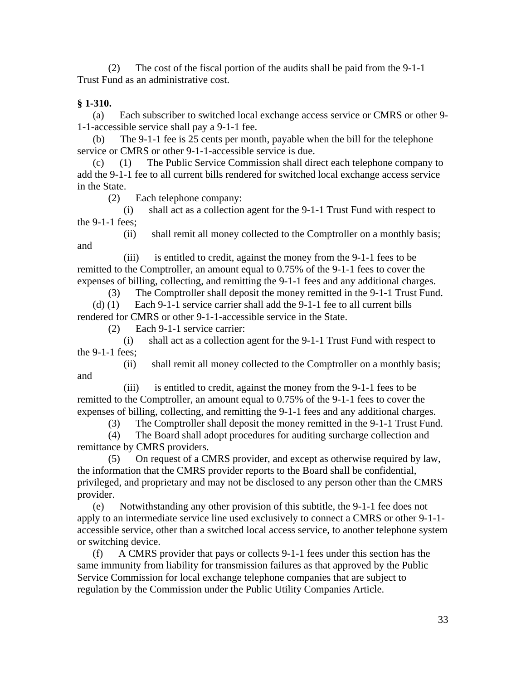(2) The cost of the fiscal portion of the audits shall be paid from the 9-1-1 Trust Fund as an administrative cost.

# **§ 1-310.**

 (a) Each subscriber to switched local exchange access service or CMRS or other 9- 1-1-accessible service shall pay a 9-1-1 fee.

 (b) The 9-1-1 fee is 25 cents per month, payable when the bill for the telephone service or CMRS or other 9-1-1-accessible service is due.

 (c) (1) The Public Service Commission shall direct each telephone company to add the 9-1-1 fee to all current bills rendered for switched local exchange access service in the State.

(2) Each telephone company:

 (i) shall act as a collection agent for the 9-1-1 Trust Fund with respect to the 9-1-1 fees;

 (ii) shall remit all money collected to the Comptroller on a monthly basis; and

 (iii) is entitled to credit, against the money from the 9-1-1 fees to be remitted to the Comptroller, an amount equal to 0.75% of the 9-1-1 fees to cover the expenses of billing, collecting, and remitting the 9-1-1 fees and any additional charges.

 (3) The Comptroller shall deposit the money remitted in the 9-1-1 Trust Fund. (d) (1) Each 9-1-1 service carrier shall add the 9-1-1 fee to all current bills rendered for CMRS or other 9-1-1-accessible service in the State.

(2) Each 9-1-1 service carrier:

 (i) shall act as a collection agent for the 9-1-1 Trust Fund with respect to the 9-1-1 fees;

 (ii) shall remit all money collected to the Comptroller on a monthly basis; and

 (iii) is entitled to credit, against the money from the 9-1-1 fees to be remitted to the Comptroller, an amount equal to 0.75% of the 9-1-1 fees to cover the expenses of billing, collecting, and remitting the 9-1-1 fees and any additional charges.

(3) The Comptroller shall deposit the money remitted in the 9-1-1 Trust Fund.

 (4) The Board shall adopt procedures for auditing surcharge collection and remittance by CMRS providers.

 (5) On request of a CMRS provider, and except as otherwise required by law, the information that the CMRS provider reports to the Board shall be confidential, privileged, and proprietary and may not be disclosed to any person other than the CMRS provider.

 (e) Notwithstanding any other provision of this subtitle, the 9-1-1 fee does not apply to an intermediate service line used exclusively to connect a CMRS or other 9-1-1 accessible service, other than a switched local access service, to another telephone system or switching device.

 (f) A CMRS provider that pays or collects 9-1-1 fees under this section has the same immunity from liability for transmission failures as that approved by the Public Service Commission for local exchange telephone companies that are subject to regulation by the Commission under the Public Utility Companies Article.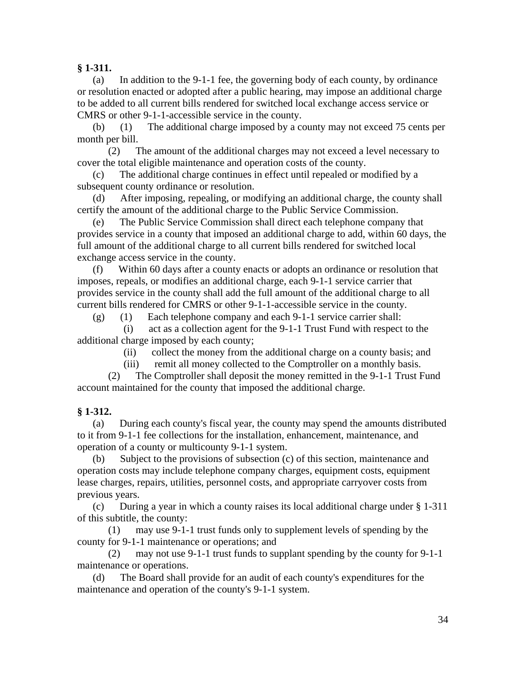# **§ 1-311.**

 (a) In addition to the 9-1-1 fee, the governing body of each county, by ordinance or resolution enacted or adopted after a public hearing, may impose an additional charge to be added to all current bills rendered for switched local exchange access service or CMRS or other 9-1-1-accessible service in the county.

 (b) (1) The additional charge imposed by a county may not exceed 75 cents per month per bill.

 (2) The amount of the additional charges may not exceed a level necessary to cover the total eligible maintenance and operation costs of the county.

 (c) The additional charge continues in effect until repealed or modified by a subsequent county ordinance or resolution.

 (d) After imposing, repealing, or modifying an additional charge, the county shall certify the amount of the additional charge to the Public Service Commission.

 (e) The Public Service Commission shall direct each telephone company that provides service in a county that imposed an additional charge to add, within 60 days, the full amount of the additional charge to all current bills rendered for switched local exchange access service in the county.

 (f) Within 60 days after a county enacts or adopts an ordinance or resolution that imposes, repeals, or modifies an additional charge, each 9-1-1 service carrier that provides service in the county shall add the full amount of the additional charge to all current bills rendered for CMRS or other 9-1-1-accessible service in the county.

(g) (1) Each telephone company and each 9-1-1 service carrier shall:

 (i) act as a collection agent for the 9-1-1 Trust Fund with respect to the additional charge imposed by each county;

(ii) collect the money from the additional charge on a county basis; and

(iii) remit all money collected to the Comptroller on a monthly basis.

 (2) The Comptroller shall deposit the money remitted in the 9-1-1 Trust Fund account maintained for the county that imposed the additional charge.

# **§ 1-312.**

 (a) During each county's fiscal year, the county may spend the amounts distributed to it from 9-1-1 fee collections for the installation, enhancement, maintenance, and operation of a county or multicounty 9-1-1 system.

 (b) Subject to the provisions of subsection (c) of this section, maintenance and operation costs may include telephone company charges, equipment costs, equipment lease charges, repairs, utilities, personnel costs, and appropriate carryover costs from previous years.

 (c) During a year in which a county raises its local additional charge under § 1-311 of this subtitle, the county:

 (1) may use 9-1-1 trust funds only to supplement levels of spending by the county for 9-1-1 maintenance or operations; and

 (2) may not use 9-1-1 trust funds to supplant spending by the county for 9-1-1 maintenance or operations.

 (d) The Board shall provide for an audit of each county's expenditures for the maintenance and operation of the county's 9-1-1 system.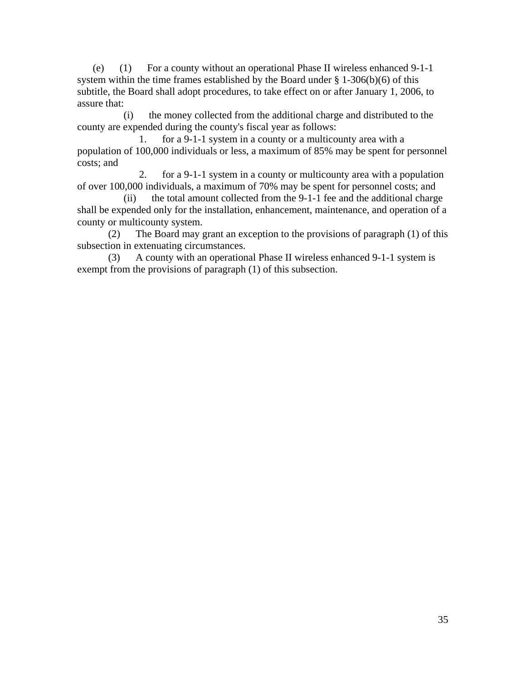(e) (1) For a county without an operational Phase II wireless enhanced 9-1-1 system within the time frames established by the Board under  $\S 1-306(b)(6)$  of this subtitle, the Board shall adopt procedures, to take effect on or after January 1, 2006, to assure that:

 (i) the money collected from the additional charge and distributed to the county are expended during the county's fiscal year as follows:

 1. for a 9-1-1 system in a county or a multicounty area with a population of 100,000 individuals or less, a maximum of 85% may be spent for personnel costs; and

 2. for a 9-1-1 system in a county or multicounty area with a population of over 100,000 individuals, a maximum of 70% may be spent for personnel costs; and

 (ii) the total amount collected from the 9-1-1 fee and the additional charge shall be expended only for the installation, enhancement, maintenance, and operation of a county or multicounty system.

 (2) The Board may grant an exception to the provisions of paragraph (1) of this subsection in extenuating circumstances.

 (3) A county with an operational Phase II wireless enhanced 9-1-1 system is exempt from the provisions of paragraph (1) of this subsection.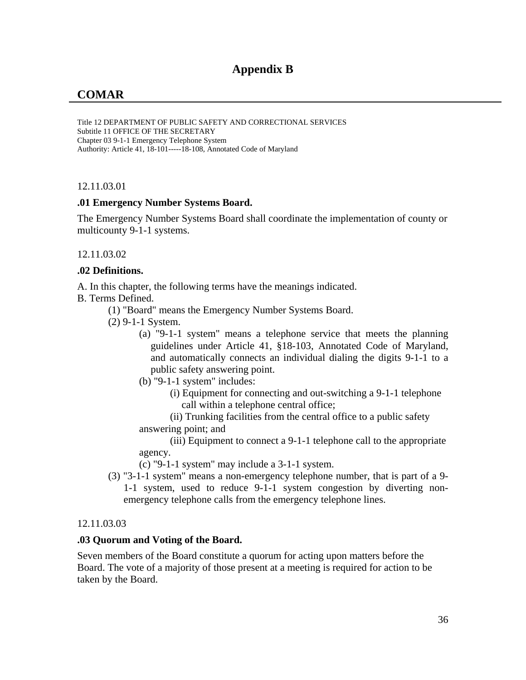# **Appendix B**

# **COMAR**

Title 12 DEPARTMENT OF PUBLIC SAFETY AND CORRECTIONAL SERVICES Subtitle 11 OFFICE OF THE SECRETARY Chapter 03 9-1-1 Emergency Telephone System Authority: Article 41, 18-101-----18-108, Annotated Code of Maryland

12.11.03.01

#### **.01 Emergency Number Systems Board.**

The Emergency Number Systems Board shall coordinate the implementation of county or multicounty 9-1-1 systems.

#### 12.11.03.02

#### **.02 Definitions.**

A. In this chapter, the following terms have the meanings indicated.

B. Terms Defined.

(1) "Board" means the Emergency Number Systems Board.

(2) 9-1-1 System.

- (a) "9-1-1 system" means a telephone service that meets the planning guidelines under Article 41, §18-103, Annotated Code of Maryland, and automatically connects an individual dialing the digits 9-1-1 to a public safety answering point.
- (b) "9-1-1 system" includes:
	- (i) Equipment for connecting and out-switching a 9-1-1 telephone call within a telephone central office;
- (ii) Trunking facilities from the central office to a public safety answering point; and

(iii) Equipment to connect a 9-1-1 telephone call to the appropriate agency.

(c) "9-1-1 system" may include a 3-1-1 system.

(3) "3-1-1 system" means a non-emergency telephone number, that is part of a 9- 1-1 system, used to reduce 9-1-1 system congestion by diverting nonemergency telephone calls from the emergency telephone lines.

#### 12.11.03.03

#### **.03 Quorum and Voting of the Board.**

Seven members of the Board constitute a quorum for acting upon matters before the Board. The vote of a majority of those present at a meeting is required for action to be taken by the Board.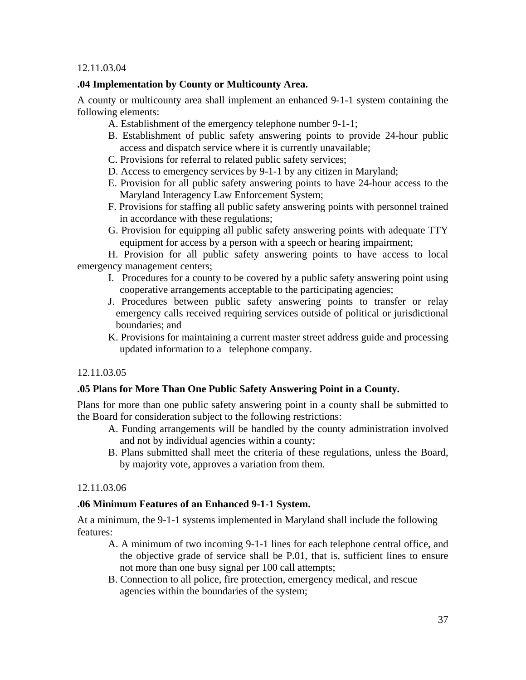# **.04 Implementation by County or Multicounty Area.**

A county or multicounty area shall implement an enhanced 9-1-1 system containing the following elements:

- A. Establishment of the emergency telephone number 9-1-1;
- B. Establishment of public safety answering points to provide 24-hour public access and dispatch service where it is currently unavailable;
- C. Provisions for referral to related public safety services;
- D. Access to emergency services by 9-1-1 by any citizen in Maryland;
- E. Provision for all public safety answering points to have 24-hour access to the Maryland Interagency Law Enforcement System;
- F. Provisions for staffing all public safety answering points with personnel trained in accordance with these regulations;
- G. Provision for equipping all public safety answering points with adequate TTY equipment for access by a person with a speech or hearing impairment;

H. Provision for all public safety answering points to have access to local emergency management centers;

- I. Procedures for a county to be covered by a public safety answering point using cooperative arrangements acceptable to the participating agencies;
- J. Procedures between public safety answering points to transfer or relay emergency calls received requiring services outside of political or jurisdictional boundaries; and
- K. Provisions for maintaining a current master street address guide and processing updated information to a telephone company.

# 12.11.03.05

# **.05 Plans for More Than One Public Safety Answering Point in a County.**

Plans for more than one public safety answering point in a county shall be submitted to the Board for consideration subject to the following restrictions:

- A. Funding arrangements will be handled by the county administration involved and not by individual agencies within a county;
- B. Plans submitted shall meet the criteria of these regulations, unless the Board, by majority vote, approves a variation from them.

# 12.11.03.06

# **.06 Minimum Features of an Enhanced 9-1-1 System.**

At a minimum, the 9-1-1 systems implemented in Maryland shall include the following features:

- A. A minimum of two incoming 9-1-1 lines for each telephone central office, and the objective grade of service shall be P.01, that is, sufficient lines to ensure not more than one busy signal per 100 call attempts;
- B. Connection to all police, fire protection, emergency medical, and rescue agencies within the boundaries of the system;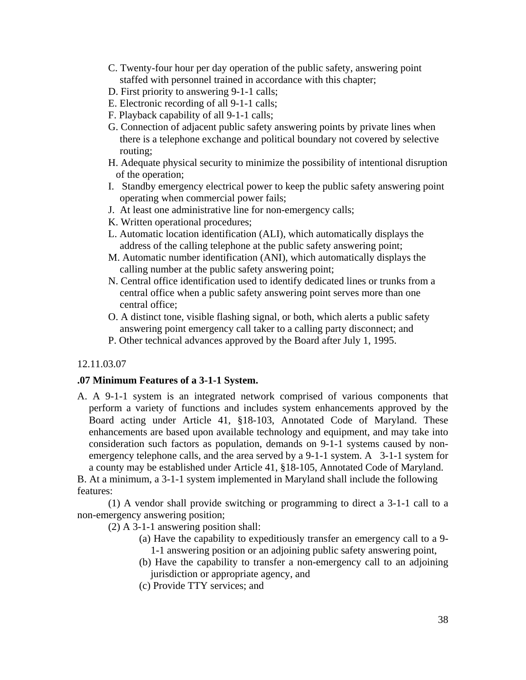- C. Twenty-four hour per day operation of the public safety, answering point staffed with personnel trained in accordance with this chapter;
- D. First priority to answering 9-1-1 calls;
- E. Electronic recording of all 9-1-1 calls;
- F. Playback capability of all 9-1-1 calls;
- G. Connection of adjacent public safety answering points by private lines when there is a telephone exchange and political boundary not covered by selective routing;
- H. Adequate physical security to minimize the possibility of intentional disruption of the operation;
- I. Standby emergency electrical power to keep the public safety answering point operating when commercial power fails;
- J. At least one administrative line for non-emergency calls;
- K. Written operational procedures;
- L. Automatic location identification (ALI), which automatically displays the address of the calling telephone at the public safety answering point;
- M. Automatic number identification (ANI), which automatically displays the calling number at the public safety answering point;
- N. Central office identification used to identify dedicated lines or trunks from a central office when a public safety answering point serves more than one central office;
- O. A distinct tone, visible flashing signal, or both, which alerts a public safety answering point emergency call taker to a calling party disconnect; and
- P. Other technical advances approved by the Board after July 1, 1995.

#### **.07 Minimum Features of a 3-1-1 System.**

A. A 9-1-1 system is an integrated network comprised of various components that perform a variety of functions and includes system enhancements approved by the Board acting under Article 41, §18-103, Annotated Code of Maryland. These enhancements are based upon available technology and equipment, and may take into consideration such factors as population, demands on 9-1-1 systems caused by nonemergency telephone calls, and the area served by a 9-1-1 system. A 3-1-1 system for a county may be established under Article 41, §18-105, Annotated Code of Maryland.

B. At a minimum, a 3-1-1 system implemented in Maryland shall include the following features:

(1) A vendor shall provide switching or programming to direct a 3-1-1 call to a non-emergency answering position;

(2) A 3-1-1 answering position shall:

- (a) Have the capability to expeditiously transfer an emergency call to a 9- 1-1 answering position or an adjoining public safety answering point,
- (b) Have the capability to transfer a non-emergency call to an adjoining jurisdiction or appropriate agency, and
- (c) Provide TTY services; and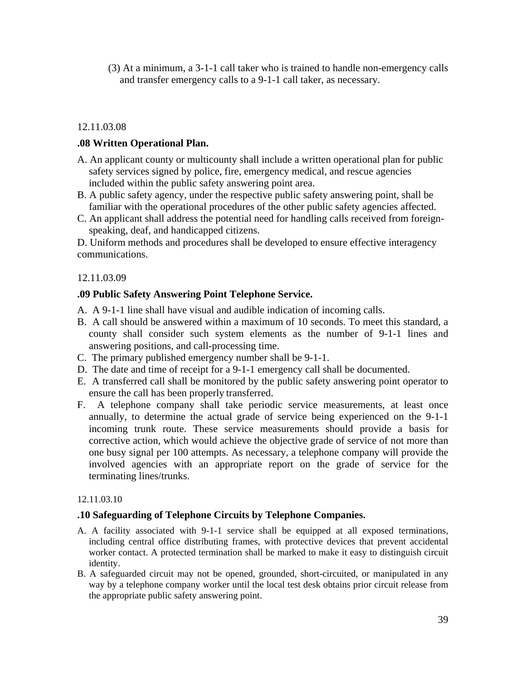(3) At a minimum, a 3-1-1 call taker who is trained to handle non-emergency calls and transfer emergency calls to a 9-1-1 call taker, as necessary.

## 12.11.03.08

## **.08 Written Operational Plan.**

- A. An applicant county or multicounty shall include a written operational plan for public safety services signed by police, fire, emergency medical, and rescue agencies included within the public safety answering point area.
- B. A public safety agency, under the respective public safety answering point, shall be familiar with the operational procedures of the other public safety agencies affected.
- C. An applicant shall address the potential need for handling calls received from foreignspeaking, deaf, and handicapped citizens.

D. Uniform methods and procedures shall be developed to ensure effective interagency communications.

#### 12.11.03.09

#### **.09 Public Safety Answering Point Telephone Service.**

- A. A 9-1-1 line shall have visual and audible indication of incoming calls.
- B. A call should be answered within a maximum of 10 seconds. To meet this standard, a county shall consider such system elements as the number of 9-1-1 lines and answering positions, and call-processing time.
- C. The primary published emergency number shall be 9-1-1.
- D. The date and time of receipt for a 9-1-1 emergency call shall be documented.
- E. A transferred call shall be monitored by the public safety answering point operator to ensure the call has been properly transferred.
- F. A telephone company shall take periodic service measurements, at least once annually, to determine the actual grade of service being experienced on the 9-1-1 incoming trunk route. These service measurements should provide a basis for corrective action, which would achieve the objective grade of service of not more than one busy signal per 100 attempts. As necessary, a telephone company will provide the involved agencies with an appropriate report on the grade of service for the terminating lines/trunks.

#### 12.11.03.10

#### **.10 Safeguarding of Telephone Circuits by Telephone Companies.**

- A. A facility associated with 9-1-1 service shall be equipped at all exposed terminations, including central office distributing frames, with protective devices that prevent accidental worker contact. A protected termination shall be marked to make it easy to distinguish circuit identity.
- B. A safeguarded circuit may not be opened, grounded, short-circuited, or manipulated in any way by a telephone company worker until the local test desk obtains prior circuit release from the appropriate public safety answering point.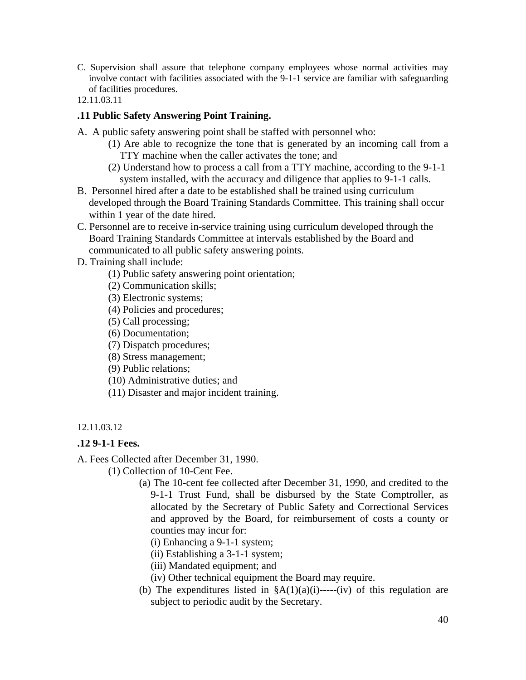- C. Supervision shall assure that telephone company employees whose normal activities may involve contact with facilities associated with the 9-1-1 service are familiar with safeguarding of facilities procedures.
- 12.11.03.11

# **.11 Public Safety Answering Point Training.**

- A. A public safety answering point shall be staffed with personnel who:
	- (1) Are able to recognize the tone that is generated by an incoming call from a TTY machine when the caller activates the tone; and
	- (2) Understand how to process a call from a TTY machine, according to the 9-1-1 system installed, with the accuracy and diligence that applies to 9-1-1 calls.
- B. Personnel hired after a date to be established shall be trained using curriculum developed through the Board Training Standards Committee. This training shall occur within 1 year of the date hired.
- C. Personnel are to receive in-service training using curriculum developed through the Board Training Standards Committee at intervals established by the Board and communicated to all public safety answering points.
- D. Training shall include:
	- (1) Public safety answering point orientation;
	- (2) Communication skills;
	- (3) Electronic systems;
	- (4) Policies and procedures;
	- (5) Call processing;
	- (6) Documentation;
	- (7) Dispatch procedures;
	- (8) Stress management;
	- (9) Public relations;
	- (10) Administrative duties; and
	- (11) Disaster and major incident training.

#### 12.11.03.12

# **.12 9-1-1 Fees.**

- A. Fees Collected after December 31, 1990.
	- (1) Collection of 10-Cent Fee.
		- (a) The 10-cent fee collected after December 31, 1990, and credited to the 9-1-1 Trust Fund, shall be disbursed by the State Comptroller, as allocated by the Secretary of Public Safety and Correctional Services and approved by the Board, for reimbursement of costs a county or counties may incur for:
			- (i) Enhancing a 9-1-1 system;
			- (ii) Establishing a 3-1-1 system;
			- (iii) Mandated equipment; and
			- (iv) Other technical equipment the Board may require.
		- (b) The expenditures listed in  $\frac{8}{4}(1)(a)(i)$ -----(iv) of this regulation are subject to periodic audit by the Secretary.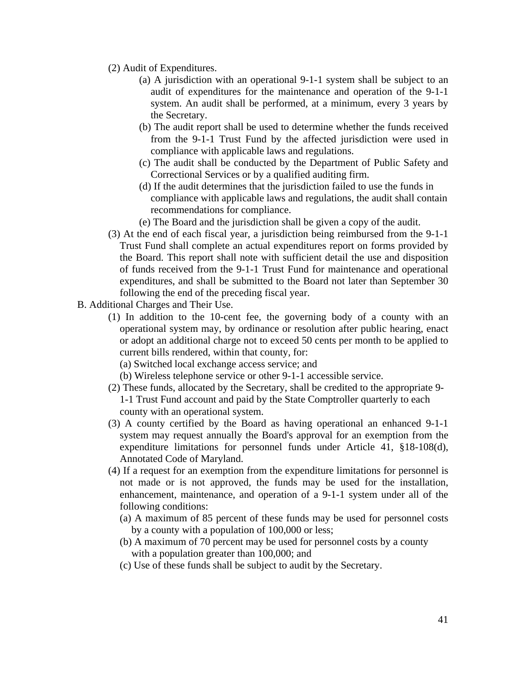- (2) Audit of Expenditures.
	- (a) A jurisdiction with an operational 9-1-1 system shall be subject to an audit of expenditures for the maintenance and operation of the 9-1-1 system. An audit shall be performed, at a minimum, every 3 years by the Secretary.
	- (b) The audit report shall be used to determine whether the funds received from the 9-1-1 Trust Fund by the affected jurisdiction were used in compliance with applicable laws and regulations.
	- (c) The audit shall be conducted by the Department of Public Safety and Correctional Services or by a qualified auditing firm.
	- (d) If the audit determines that the jurisdiction failed to use the funds in compliance with applicable laws and regulations, the audit shall contain recommendations for compliance.
	- (e) The Board and the jurisdiction shall be given a copy of the audit.
- (3) At the end of each fiscal year, a jurisdiction being reimbursed from the 9-1-1 Trust Fund shall complete an actual expenditures report on forms provided by the Board. This report shall note with sufficient detail the use and disposition of funds received from the 9-1-1 Trust Fund for maintenance and operational expenditures, and shall be submitted to the Board not later than September 30 following the end of the preceding fiscal year.
- B. Additional Charges and Their Use.
	- (1) In addition to the 10-cent fee, the governing body of a county with an operational system may, by ordinance or resolution after public hearing, enact or adopt an additional charge not to exceed 50 cents per month to be applied to current bills rendered, within that county, for:
		- (a) Switched local exchange access service; and
		- (b) Wireless telephone service or other 9-1-1 accessible service.
	- (2) These funds, allocated by the Secretary, shall be credited to the appropriate 9- 1-1 Trust Fund account and paid by the State Comptroller quarterly to each county with an operational system.
	- (3) A county certified by the Board as having operational an enhanced 9-1-1 system may request annually the Board's approval for an exemption from the expenditure limitations for personnel funds under Article 41, §18-108(d), Annotated Code of Maryland.
	- (4) If a request for an exemption from the expenditure limitations for personnel is not made or is not approved, the funds may be used for the installation, enhancement, maintenance, and operation of a 9-1-1 system under all of the following conditions:
		- (a) A maximum of 85 percent of these funds may be used for personnel costs by a county with a population of 100,000 or less;
		- (b) A maximum of 70 percent may be used for personnel costs by a county with a population greater than 100,000; and
		- (c) Use of these funds shall be subject to audit by the Secretary.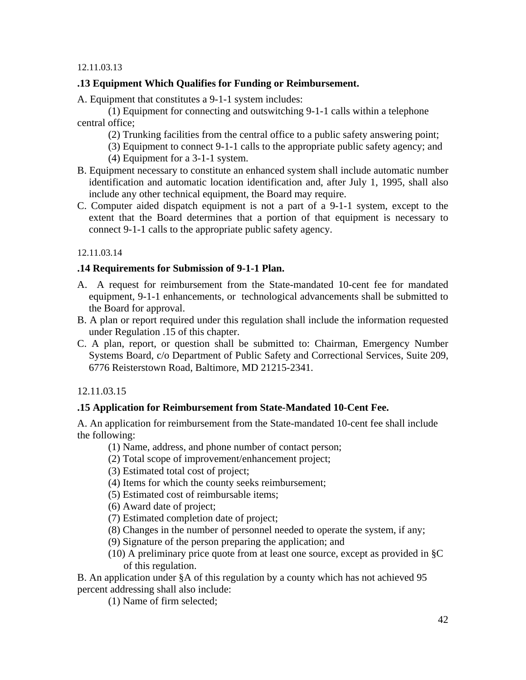# **.13 Equipment Which Qualifies for Funding or Reimbursement.**

A. Equipment that constitutes a 9-1-1 system includes:

(1) Equipment for connecting and outswitching 9-1-1 calls within a telephone central office;

(2) Trunking facilities from the central office to a public safety answering point;

- (3) Equipment to connect 9-1-1 calls to the appropriate public safety agency; and
- (4) Equipment for a 3-1-1 system.
- B. Equipment necessary to constitute an enhanced system shall include automatic number identification and automatic location identification and, after July 1, 1995, shall also include any other technical equipment, the Board may require.
- C. Computer aided dispatch equipment is not a part of a 9-1-1 system, except to the extent that the Board determines that a portion of that equipment is necessary to connect 9-1-1 calls to the appropriate public safety agency.

# 12.11.03.14

# **.14 Requirements for Submission of 9-1-1 Plan.**

- A. A request for reimbursement from the State-mandated 10-cent fee for mandated equipment, 9-1-1 enhancements, or technological advancements shall be submitted to the Board for approval.
- B. A plan or report required under this regulation shall include the information requested under Regulation .15 of this chapter.
- C. A plan, report, or question shall be submitted to: Chairman, Emergency Number Systems Board, c/o Department of Public Safety and Correctional Services, Suite 209, 6776 Reisterstown Road, Baltimore, MD 21215-2341.

# 12.11.03.15

# **.15 Application for Reimbursement from State-Mandated 10-Cent Fee.**

A. An application for reimbursement from the State-mandated 10-cent fee shall include the following:

- (1) Name, address, and phone number of contact person;
- (2) Total scope of improvement/enhancement project;
- (3) Estimated total cost of project;
- (4) Items for which the county seeks reimbursement;
- (5) Estimated cost of reimbursable items;
- (6) Award date of project;
- (7) Estimated completion date of project;
- (8) Changes in the number of personnel needed to operate the system, if any;
- (9) Signature of the person preparing the application; and
- (10) A preliminary price quote from at least one source, except as provided in §C of this regulation.

B. An application under §A of this regulation by a county which has not achieved 95 percent addressing shall also include:

(1) Name of firm selected;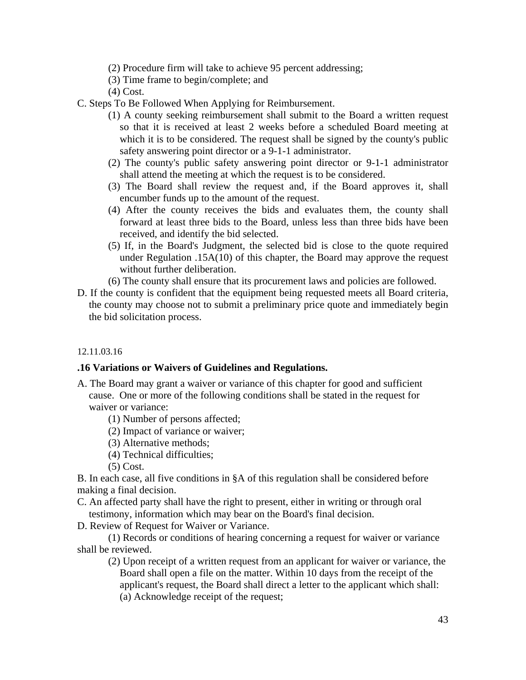- (2) Procedure firm will take to achieve 95 percent addressing;
- (3) Time frame to begin/complete; and
- (4) Cost.
- C. Steps To Be Followed When Applying for Reimbursement.
	- (1) A county seeking reimbursement shall submit to the Board a written request so that it is received at least 2 weeks before a scheduled Board meeting at which it is to be considered. The request shall be signed by the county's public safety answering point director or a 9-1-1 administrator.
	- (2) The county's public safety answering point director or 9-1-1 administrator shall attend the meeting at which the request is to be considered.
	- (3) The Board shall review the request and, if the Board approves it, shall encumber funds up to the amount of the request.
	- (4) After the county receives the bids and evaluates them, the county shall forward at least three bids to the Board, unless less than three bids have been received, and identify the bid selected.
	- (5) If, in the Board's Judgment, the selected bid is close to the quote required under Regulation .15A(10) of this chapter, the Board may approve the request without further deliberation.
	- (6) The county shall ensure that its procurement laws and policies are followed.
- D. If the county is confident that the equipment being requested meets all Board criteria, the county may choose not to submit a preliminary price quote and immediately begin the bid solicitation process.

#### **.16 Variations or Waivers of Guidelines and Regulations.**

- A. The Board may grant a waiver or variance of this chapter for good and sufficient cause. One or more of the following conditions shall be stated in the request for waiver or variance:
	- (1) Number of persons affected;
	- (2) Impact of variance or waiver;
	- (3) Alternative methods;
	- (4) Technical difficulties;
	- (5) Cost.

B. In each case, all five conditions in §A of this regulation shall be considered before making a final decision.

C. An affected party shall have the right to present, either in writing or through oral testimony, information which may bear on the Board's final decision.

D. Review of Request for Waiver or Variance.

(1) Records or conditions of hearing concerning a request for waiver or variance shall be reviewed.

(2) Upon receipt of a written request from an applicant for waiver or variance, the Board shall open a file on the matter. Within 10 days from the receipt of the applicant's request, the Board shall direct a letter to the applicant which shall: (a) Acknowledge receipt of the request;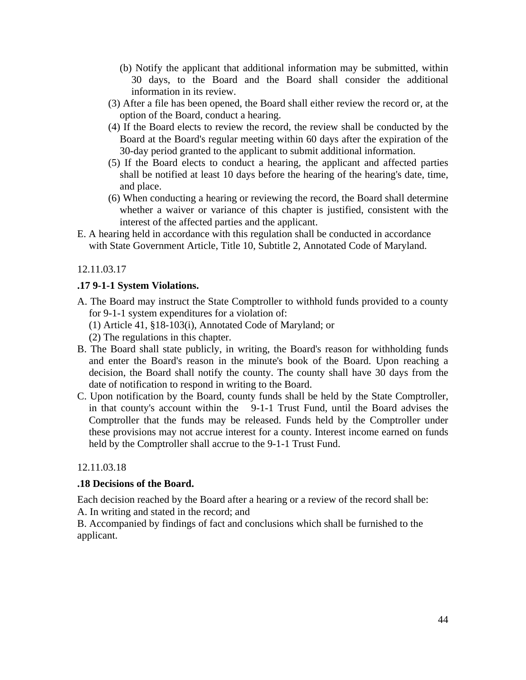- (b) Notify the applicant that additional information may be submitted, within 30 days, to the Board and the Board shall consider the additional information in its review.
- (3) After a file has been opened, the Board shall either review the record or, at the option of the Board, conduct a hearing.
- (4) If the Board elects to review the record, the review shall be conducted by the Board at the Board's regular meeting within 60 days after the expiration of the 30-day period granted to the applicant to submit additional information.
- (5) If the Board elects to conduct a hearing, the applicant and affected parties shall be notified at least 10 days before the hearing of the hearing's date, time, and place.
- (6) When conducting a hearing or reviewing the record, the Board shall determine whether a waiver or variance of this chapter is justified, consistent with the interest of the affected parties and the applicant.
- E. A hearing held in accordance with this regulation shall be conducted in accordance with State Government Article, Title 10, Subtitle 2, Annotated Code of Maryland.

# **.17 9-1-1 System Violations.**

- A. The Board may instruct the State Comptroller to withhold funds provided to a county for 9-1-1 system expenditures for a violation of:
	- (1) Article 41, §18-103(i), Annotated Code of Maryland; or

(2) The regulations in this chapter.

- B. The Board shall state publicly, in writing, the Board's reason for withholding funds and enter the Board's reason in the minute's book of the Board. Upon reaching a decision, the Board shall notify the county. The county shall have 30 days from the date of notification to respond in writing to the Board.
- C. Upon notification by the Board, county funds shall be held by the State Comptroller, in that county's account within the 9-1-1 Trust Fund, until the Board advises the Comptroller that the funds may be released. Funds held by the Comptroller under these provisions may not accrue interest for a county. Interest income earned on funds held by the Comptroller shall accrue to the 9-1-1 Trust Fund.

# 12.11.03.18

# **.18 Decisions of the Board.**

Each decision reached by the Board after a hearing or a review of the record shall be:

A. In writing and stated in the record; and

B. Accompanied by findings of fact and conclusions which shall be furnished to the applicant.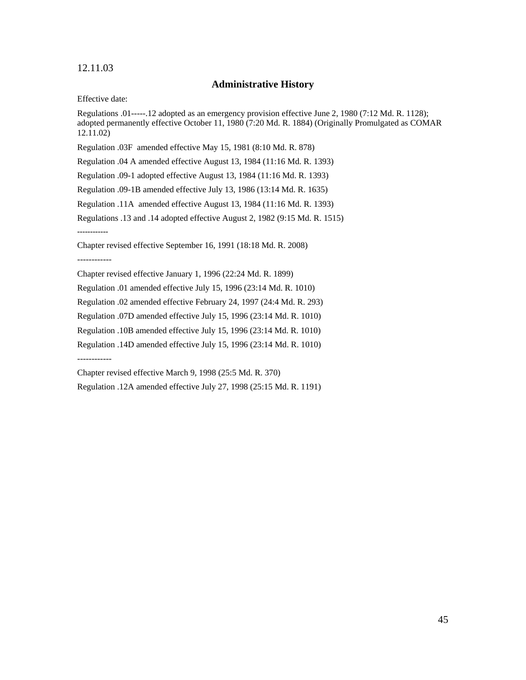#### 12.11.03

#### **Administrative History**

Effective date:

Regulations .01-----.12 adopted as an emergency provision effective June 2, 1980 (7:12 Md. R. 1128); adopted permanently effective October 11, 1980 (7:20 Md. R. 1884) (Originally Promulgated as COMAR 12.11.02)

Regulation .03F amended effective May 15, 1981 (8:10 Md. R. 878)

Regulation .04 A amended effective August 13, 1984 (11:16 Md. R. 1393)

Regulation .09-1 adopted effective August 13, 1984 (11:16 Md. R. 1393)

Regulation .09-1B amended effective July 13, 1986 (13:14 Md. R. 1635)

Regulation .11A amended effective August 13, 1984 (11:16 Md. R. 1393)

Regulations .13 and .14 adopted effective August 2, 1982 (9:15 Md. R. 1515)

**------------** 

Chapter revised effective September 16, 1991 (18:18 Md. R. 2008)

------------

Chapter revised effective January 1, 1996 (22:24 Md. R. 1899)

Regulation .01 amended effective July 15, 1996 (23:14 Md. R. 1010)

Regulation .02 amended effective February 24, 1997 (24:4 Md. R. 293)

Regulation .07D amended effective July 15, 1996 (23:14 Md. R. 1010)

Regulation .10B amended effective July 15, 1996 (23:14 Md. R. 1010)

Regulation .14D amended effective July 15, 1996 (23:14 Md. R. 1010)

------------

Chapter revised effective March 9, 1998 (25:5 Md. R. 370)

Regulation .12A amended effective July 27, 1998 (25:15 Md. R. 1191)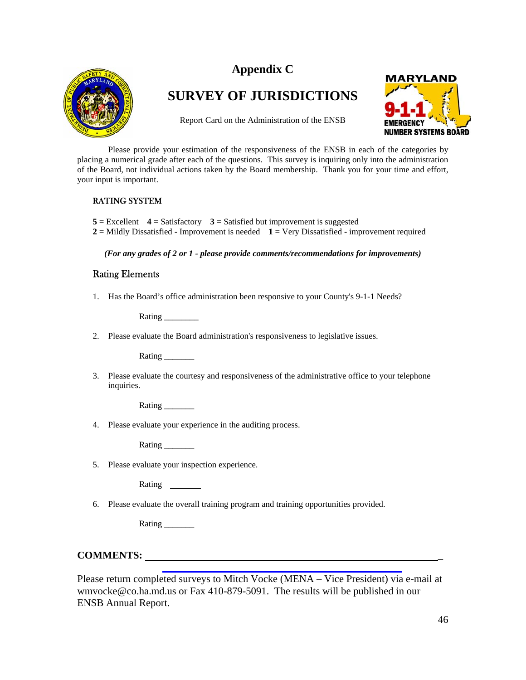# **Appendix C**



# **SURVEY OF JURISDICTIONS**

Report Card on the Administration of the ENSB



Please provide your estimation of the responsiveness of the ENSB in each of the categories by placing a numerical grade after each of the questions. This survey is inquiring only into the administration of the Board, not individual actions taken by the Board membership. Thank you for your time and effort, your input is important.

#### RATING SYSTEM

 $5 =$  Excellent  $4 =$  Satisfactory  $3 =$  Satisfied but improvement is suggested

**2** = Mildly Dissatisfied - Improvement is needed **1** = Very Dissatisfied - improvement required

*(For any grades of 2 or 1 - please provide comments/recommendations for improvements)*

#### Rating Elements

1. Has the Board's office administration been responsive to your County's 9-1-1 Needs?

Rating \_\_\_\_\_\_\_\_

2. Please evaluate the Board administration's responsiveness to legislative issues.

Rating \_\_\_\_\_\_\_

3. Please evaluate the courtesy and responsiveness of the administrative office to your telephone inquiries.

Rating \_\_\_\_\_\_\_

4. Please evaluate your experience in the auditing process.

Rating  $\Box$ 

5. Please evaluate your inspection experience.

**Rating** 

6. Please evaluate the overall training program and training opportunities provided.

Rating \_\_\_\_\_\_\_\_\_\_

# **COMMENTS:** \_

Please return completed surveys to Mitch Vocke (MENA – Vice President) via e-mail at wmvocke@co.ha.md.us or Fax 410-879-5091. The results will be published in our ENSB Annual Report.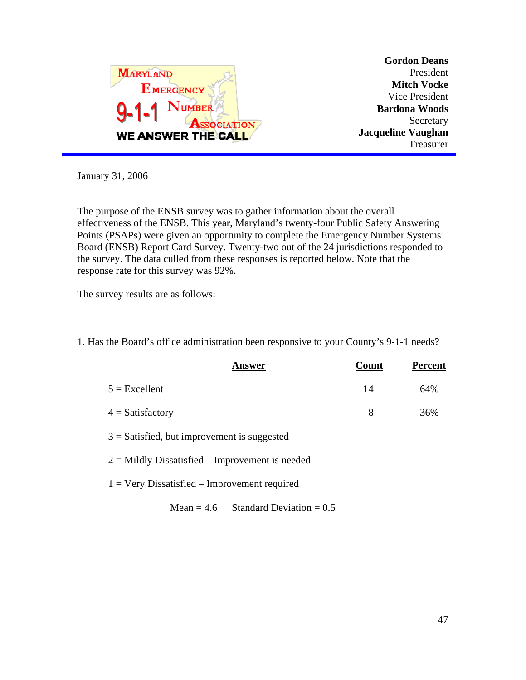

**Gordon Deans** President **Mitch Vocke** Vice President **Bardona Woods** Secretary **Jacqueline Vaughan** Treasurer

January 31, 2006

The purpose of the ENSB survey was to gather information about the overall effectiveness of the ENSB. This year, Maryland's twenty-four Public Safety Answering Points (PSAPs) were given an opportunity to complete the Emergency Number Systems Board (ENSB) Report Card Survey. Twenty-two out of the 24 jurisdictions responded to the survey. The data culled from these responses is reported below. Note that the response rate for this survey was 92%.

The survey results are as follows:

|                                                   | <b>Answer</b>                         | Count | <b>Percent</b> |
|---------------------------------------------------|---------------------------------------|-------|----------------|
| $5 =$ Excellent                                   |                                       | 14    | 64%            |
| $4 =$ Satisfactory                                |                                       | 8     | 36%            |
| $3 =$ Satisfied, but improvement is suggested     |                                       |       |                |
| $2 =$ Mildly Dissatisfied – Improvement is needed |                                       |       |                |
| $1 =$ Very Dissatisfied – Improvement required    |                                       |       |                |
|                                                   | Mean = 4.6 Standard Deviation = $0.5$ |       |                |

1. Has the Board's office administration been responsive to your County's 9-1-1 needs?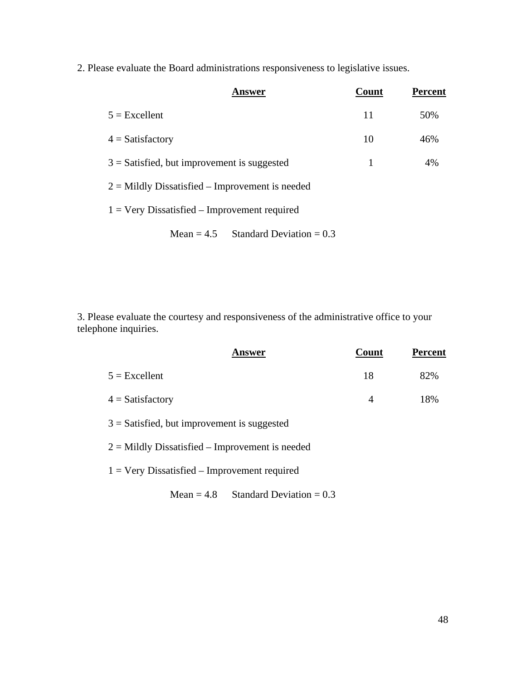2. Please evaluate the Board administrations responsiveness to legislative issues.

| Answer                                                | Count | <b>Percent</b> |
|-------------------------------------------------------|-------|----------------|
| $5 =$ Excellent                                       | 11    | 50%            |
| $4 = Satisfactory$                                    | 10    | 46%            |
| $3 =$ Satisfied, but improvement is suggested         | 1     | 4%             |
| $2 =$ Mildly Dissatisfied – Improvement is needed     |       |                |
| $1 = \text{Very Dissatisfied - Improvement required}$ |       |                |
| Standard Deviation $= 0.3$<br>Mean $= 4.5$            |       |                |

3. Please evaluate the courtesy and responsiveness of the administrative office to your telephone inquiries.

| <b>Answer</b>                                     | Count | <b>Percent</b> |
|---------------------------------------------------|-------|----------------|
| $5 =$ Excellent                                   | 18    | 82%            |
| $4 = Satisfactory$                                | 4     | 18%            |
| $3$ = Satisfied, but improvement is suggested     |       |                |
| $2 =$ Mildly Dissatisfied – Improvement is needed |       |                |
| $1 =$ Very Dissatisfied – Improvement required    |       |                |
| Standard Deviation = $0.3$<br>Mean $= 4.8$        |       |                |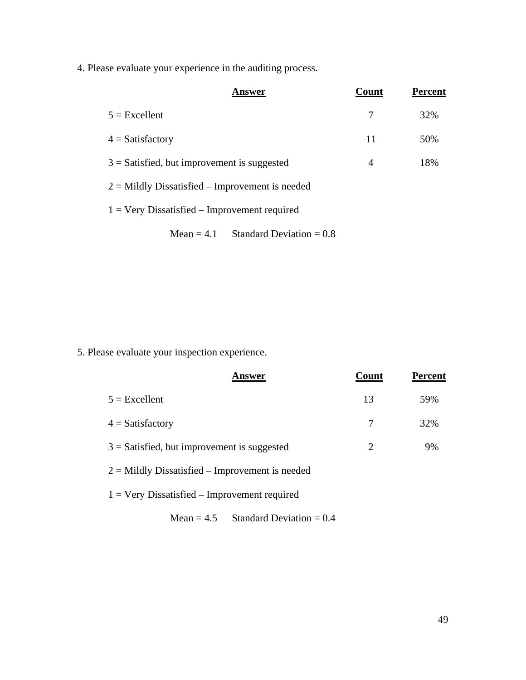4. Please evaluate your experience in the auditing process.

| Answer                                            | Count | <b>Percent</b> |
|---------------------------------------------------|-------|----------------|
| $5 =$ Excellent                                   | 7     | 32%            |
| $4 = Satisfactory$                                | 11    | 50%            |
| $3 =$ Satisfied, but improvement is suggested     | 4     | 18%            |
| $2 =$ Mildly Dissatisfied – Improvement is needed |       |                |
| $1 =$ Very Dissatisfied – Improvement required    |       |                |
| Standard Deviation $= 0.8$<br>Mean $= 4.1$        |       |                |

5. Please evaluate your inspection experience.

| Answer                                            | Count | <b>Percent</b> |
|---------------------------------------------------|-------|----------------|
| $5 =$ Excellent                                   | 13    | 59%            |
| $4 = Satisfactory$                                |       | 32%            |
| $3 =$ Satisfied, but improvement is suggested     |       | 9%             |
| $2 =$ Mildly Dissatisfied – Improvement is needed |       |                |
|                                                   |       |                |

1 = Very Dissatisfied – Improvement required

Mean =  $4.5$  Standard Deviation =  $0.4$